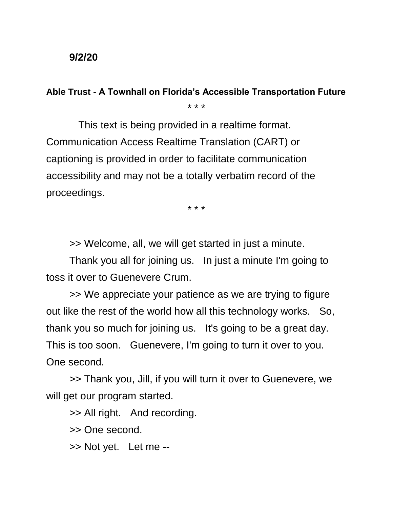## **9/2/20**

## **Able Trust - A Townhall on Florida's Accessible Transportation Future**

\* \* \*

 This text is being provided in a realtime format. Communication Access Realtime Translation (CART) or captioning is provided in order to facilitate communication accessibility and may not be a totally verbatim record of the proceedings.

\* \* \*

>> Welcome, all, we will get started in just a minute.

Thank you all for joining us. In just a minute I'm going to toss it over to Guenevere Crum.

>> We appreciate your patience as we are trying to figure out like the rest of the world how all this technology works. So, thank you so much for joining us. It's going to be a great day. This is too soon. Guenevere, I'm going to turn it over to you. One second.

>> Thank you, Jill, if you will turn it over to Guenevere, we will get our program started.

>> All right. And recording.

>> One second.

>> Not yet. Let me --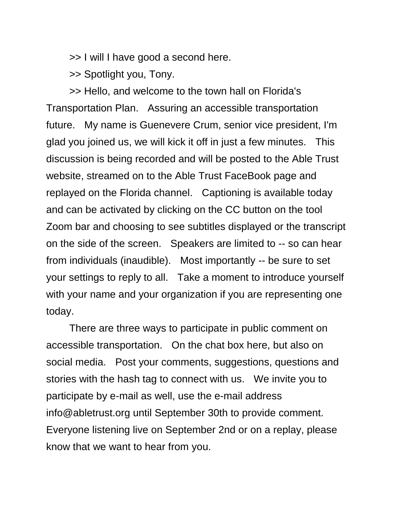>> I will I have good a second here.

>> Spotlight you, Tony.

>> Hello, and welcome to the town hall on Florida's Transportation Plan. Assuring an accessible transportation future. My name is Guenevere Crum, senior vice president, I'm glad you joined us, we will kick it off in just a few minutes. This discussion is being recorded and will be posted to the Able Trust website, streamed on to the Able Trust FaceBook page and replayed on the Florida channel. Captioning is available today and can be activated by clicking on the CC button on the tool Zoom bar and choosing to see subtitles displayed or the transcript on the side of the screen. Speakers are limited to -- so can hear from individuals (inaudible). Most importantly -- be sure to set your settings to reply to all. Take a moment to introduce yourself with your name and your organization if you are representing one today.

There are three ways to participate in public comment on accessible transportation. On the chat box here, but also on social media. Post your comments, suggestions, questions and stories with the hash tag to connect with us. We invite you to participate by e-mail as well, use the e-mail address info@abletrust.org until September 30th to provide comment. Everyone listening live on September 2nd or on a replay, please know that we want to hear from you.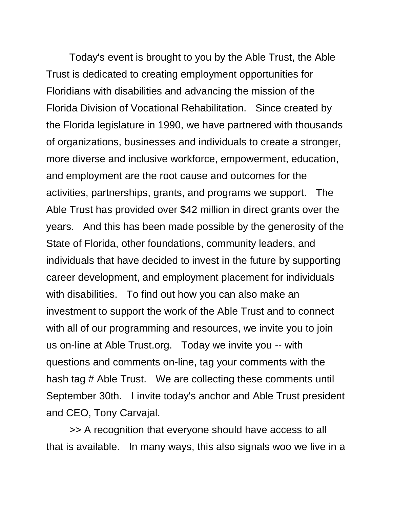Today's event is brought to you by the Able Trust, the Able Trust is dedicated to creating employment opportunities for Floridians with disabilities and advancing the mission of the Florida Division of Vocational Rehabilitation. Since created by the Florida legislature in 1990, we have partnered with thousands of organizations, businesses and individuals to create a stronger, more diverse and inclusive workforce, empowerment, education, and employment are the root cause and outcomes for the activities, partnerships, grants, and programs we support. The Able Trust has provided over \$42 million in direct grants over the years. And this has been made possible by the generosity of the State of Florida, other foundations, community leaders, and individuals that have decided to invest in the future by supporting career development, and employment placement for individuals with disabilities. To find out how you can also make an investment to support the work of the Able Trust and to connect with all of our programming and resources, we invite you to join us on-line at Able Trust.org. Today we invite you -- with questions and comments on-line, tag your comments with the hash tag # Able Trust. We are collecting these comments until September 30th. I invite today's anchor and Able Trust president and CEO, Tony Carvajal.

>> A recognition that everyone should have access to all that is available. In many ways, this also signals woo we live in a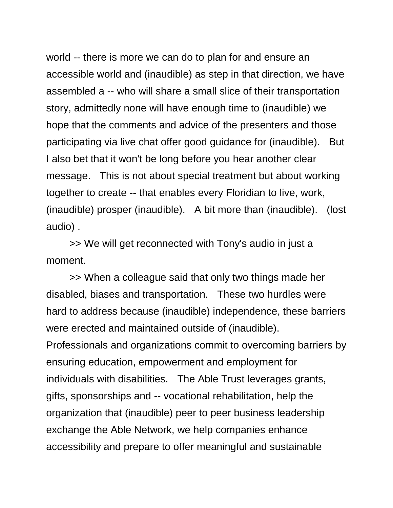world -- there is more we can do to plan for and ensure an accessible world and (inaudible) as step in that direction, we have assembled a -- who will share a small slice of their transportation story, admittedly none will have enough time to (inaudible) we hope that the comments and advice of the presenters and those participating via live chat offer good guidance for (inaudible). But I also bet that it won't be long before you hear another clear message. This is not about special treatment but about working together to create -- that enables every Floridian to live, work, (inaudible) prosper (inaudible). A bit more than (inaudible). (lost audio) .

>> We will get reconnected with Tony's audio in just a moment.

>> When a colleague said that only two things made her disabled, biases and transportation. These two hurdles were hard to address because (inaudible) independence, these barriers were erected and maintained outside of (inaudible). Professionals and organizations commit to overcoming barriers by ensuring education, empowerment and employment for individuals with disabilities. The Able Trust leverages grants, gifts, sponsorships and -- vocational rehabilitation, help the organization that (inaudible) peer to peer business leadership exchange the Able Network, we help companies enhance accessibility and prepare to offer meaningful and sustainable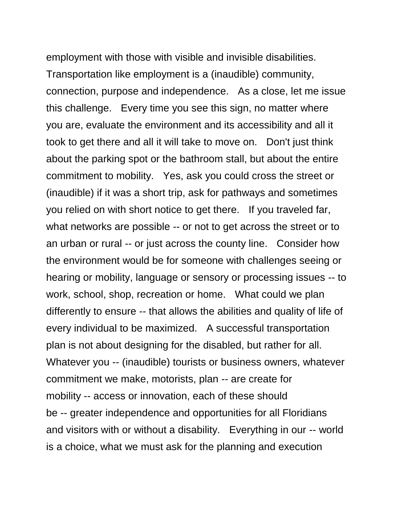employment with those with visible and invisible disabilities. Transportation like employment is a (inaudible) community, connection, purpose and independence. As a close, let me issue this challenge. Every time you see this sign, no matter where you are, evaluate the environment and its accessibility and all it took to get there and all it will take to move on. Don't just think about the parking spot or the bathroom stall, but about the entire commitment to mobility. Yes, ask you could cross the street or (inaudible) if it was a short trip, ask for pathways and sometimes you relied on with short notice to get there. If you traveled far, what networks are possible -- or not to get across the street or to an urban or rural -- or just across the county line. Consider how the environment would be for someone with challenges seeing or hearing or mobility, language or sensory or processing issues -- to work, school, shop, recreation or home. What could we plan differently to ensure -- that allows the abilities and quality of life of every individual to be maximized. A successful transportation plan is not about designing for the disabled, but rather for all. Whatever you -- (inaudible) tourists or business owners, whatever commitment we make, motorists, plan -- are create for mobility -- access or innovation, each of these should be -- greater independence and opportunities for all Floridians and visitors with or without a disability. Everything in our -- world is a choice, what we must ask for the planning and execution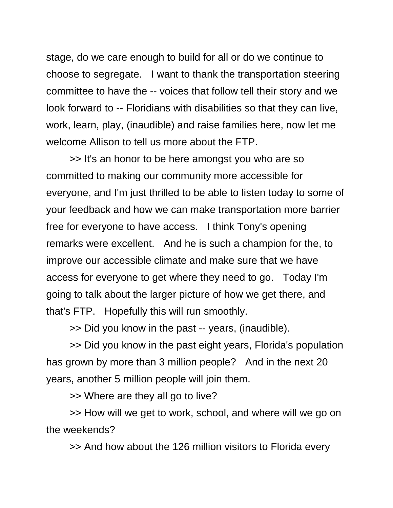stage, do we care enough to build for all or do we continue to choose to segregate. I want to thank the transportation steering committee to have the -- voices that follow tell their story and we look forward to -- Floridians with disabilities so that they can live, work, learn, play, (inaudible) and raise families here, now let me welcome Allison to tell us more about the FTP.

>> It's an honor to be here amongst you who are so committed to making our community more accessible for everyone, and I'm just thrilled to be able to listen today to some of your feedback and how we can make transportation more barrier free for everyone to have access. I think Tony's opening remarks were excellent. And he is such a champion for the, to improve our accessible climate and make sure that we have access for everyone to get where they need to go. Today I'm going to talk about the larger picture of how we get there, and that's FTP. Hopefully this will run smoothly.

>> Did you know in the past -- years, (inaudible).

>> Did you know in the past eight years, Florida's population has grown by more than 3 million people? And in the next 20 years, another 5 million people will join them.

>> Where are they all go to live?

>> How will we get to work, school, and where will we go on the weekends?

>> And how about the 126 million visitors to Florida every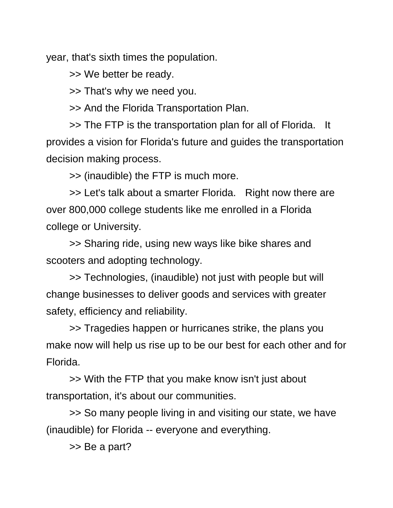year, that's sixth times the population.

>> We better be ready.

>> That's why we need you.

>> And the Florida Transportation Plan.

>> The FTP is the transportation plan for all of Florida. It provides a vision for Florida's future and guides the transportation decision making process.

>> (inaudible) the FTP is much more.

>> Let's talk about a smarter Florida. Right now there are over 800,000 college students like me enrolled in a Florida college or University.

>> Sharing ride, using new ways like bike shares and scooters and adopting technology.

>> Technologies, (inaudible) not just with people but will change businesses to deliver goods and services with greater safety, efficiency and reliability.

>> Tragedies happen or hurricanes strike, the plans you make now will help us rise up to be our best for each other and for Florida.

>> With the FTP that you make know isn't just about transportation, it's about our communities.

>> So many people living in and visiting our state, we have (inaudible) for Florida -- everyone and everything.

>> Be a part?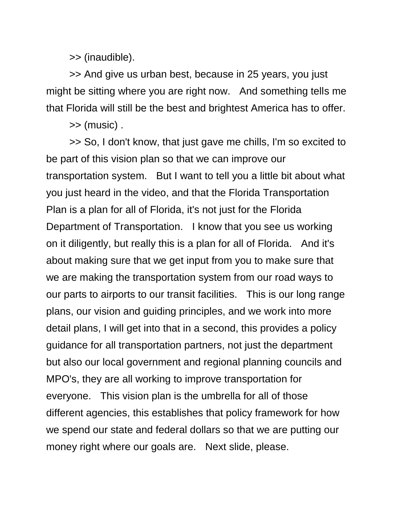>> (inaudible).

>> And give us urban best, because in 25 years, you just might be sitting where you are right now. And something tells me that Florida will still be the best and brightest America has to offer.

>> (music) .

>> So, I don't know, that just gave me chills, I'm so excited to be part of this vision plan so that we can improve our transportation system. But I want to tell you a little bit about what you just heard in the video, and that the Florida Transportation Plan is a plan for all of Florida, it's not just for the Florida Department of Transportation. I know that you see us working on it diligently, but really this is a plan for all of Florida. And it's about making sure that we get input from you to make sure that we are making the transportation system from our road ways to our parts to airports to our transit facilities. This is our long range plans, our vision and guiding principles, and we work into more detail plans, I will get into that in a second, this provides a policy guidance for all transportation partners, not just the department but also our local government and regional planning councils and MPO's, they are all working to improve transportation for everyone. This vision plan is the umbrella for all of those different agencies, this establishes that policy framework for how we spend our state and federal dollars so that we are putting our money right where our goals are. Next slide, please.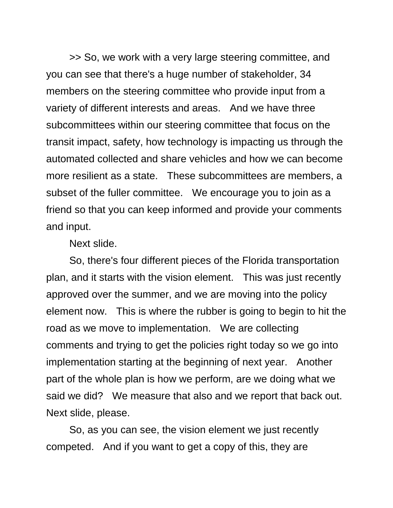>> So, we work with a very large steering committee, and you can see that there's a huge number of stakeholder, 34 members on the steering committee who provide input from a variety of different interests and areas. And we have three subcommittees within our steering committee that focus on the transit impact, safety, how technology is impacting us through the automated collected and share vehicles and how we can become more resilient as a state. These subcommittees are members, a subset of the fuller committee. We encourage you to join as a friend so that you can keep informed and provide your comments and input.

Next slide.

So, there's four different pieces of the Florida transportation plan, and it starts with the vision element. This was just recently approved over the summer, and we are moving into the policy element now. This is where the rubber is going to begin to hit the road as we move to implementation. We are collecting comments and trying to get the policies right today so we go into implementation starting at the beginning of next year. Another part of the whole plan is how we perform, are we doing what we said we did? We measure that also and we report that back out. Next slide, please.

So, as you can see, the vision element we just recently competed. And if you want to get a copy of this, they are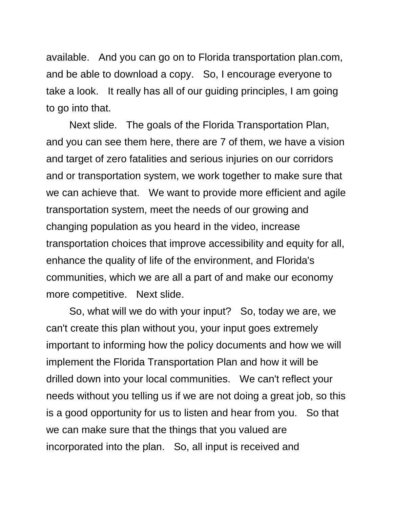available. And you can go on to Florida transportation plan.com, and be able to download a copy. So, I encourage everyone to take a look. It really has all of our guiding principles, I am going to go into that.

Next slide. The goals of the Florida Transportation Plan, and you can see them here, there are 7 of them, we have a vision and target of zero fatalities and serious injuries on our corridors and or transportation system, we work together to make sure that we can achieve that. We want to provide more efficient and agile transportation system, meet the needs of our growing and changing population as you heard in the video, increase transportation choices that improve accessibility and equity for all, enhance the quality of life of the environment, and Florida's communities, which we are all a part of and make our economy more competitive. Next slide.

So, what will we do with your input? So, today we are, we can't create this plan without you, your input goes extremely important to informing how the policy documents and how we will implement the Florida Transportation Plan and how it will be drilled down into your local communities. We can't reflect your needs without you telling us if we are not doing a great job, so this is a good opportunity for us to listen and hear from you. So that we can make sure that the things that you valued are incorporated into the plan. So, all input is received and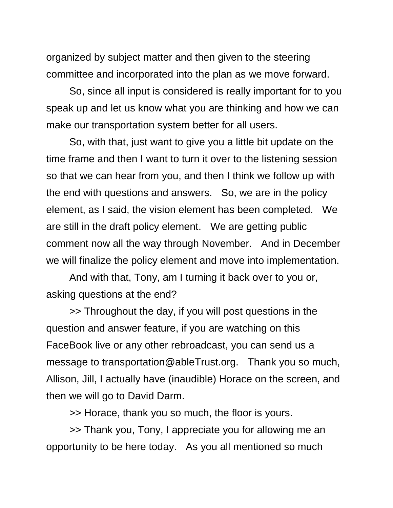organized by subject matter and then given to the steering committee and incorporated into the plan as we move forward.

So, since all input is considered is really important for to you speak up and let us know what you are thinking and how we can make our transportation system better for all users.

So, with that, just want to give you a little bit update on the time frame and then I want to turn it over to the listening session so that we can hear from you, and then I think we follow up with the end with questions and answers. So, we are in the policy element, as I said, the vision element has been completed. We are still in the draft policy element. We are getting public comment now all the way through November. And in December we will finalize the policy element and move into implementation.

And with that, Tony, am I turning it back over to you or, asking questions at the end?

>> Throughout the day, if you will post questions in the question and answer feature, if you are watching on this FaceBook live or any other rebroadcast, you can send us a message to transportation@ableTrust.org. Thank you so much, Allison, Jill, I actually have (inaudible) Horace on the screen, and then we will go to David Darm.

>> Horace, thank you so much, the floor is yours.

>> Thank you, Tony, I appreciate you for allowing me an opportunity to be here today. As you all mentioned so much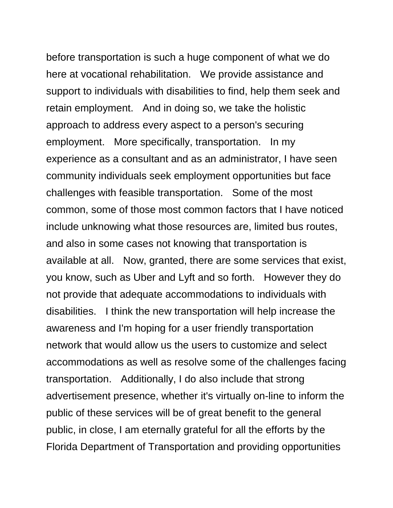before transportation is such a huge component of what we do here at vocational rehabilitation. We provide assistance and support to individuals with disabilities to find, help them seek and retain employment. And in doing so, we take the holistic approach to address every aspect to a person's securing employment. More specifically, transportation. In my experience as a consultant and as an administrator, I have seen community individuals seek employment opportunities but face challenges with feasible transportation. Some of the most common, some of those most common factors that I have noticed include unknowing what those resources are, limited bus routes, and also in some cases not knowing that transportation is available at all. Now, granted, there are some services that exist, you know, such as Uber and Lyft and so forth. However they do not provide that adequate accommodations to individuals with disabilities. I think the new transportation will help increase the awareness and I'm hoping for a user friendly transportation network that would allow us the users to customize and select accommodations as well as resolve some of the challenges facing transportation. Additionally, I do also include that strong advertisement presence, whether it's virtually on-line to inform the public of these services will be of great benefit to the general public, in close, I am eternally grateful for all the efforts by the Florida Department of Transportation and providing opportunities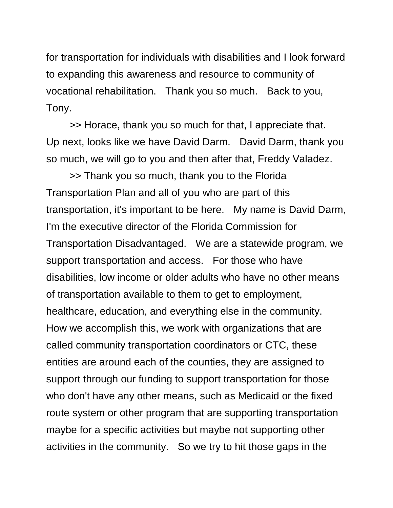for transportation for individuals with disabilities and I look forward to expanding this awareness and resource to community of vocational rehabilitation. Thank you so much. Back to you, Tony.

>> Horace, thank you so much for that, I appreciate that. Up next, looks like we have David Darm. David Darm, thank you so much, we will go to you and then after that, Freddy Valadez.

>> Thank you so much, thank you to the Florida Transportation Plan and all of you who are part of this transportation, it's important to be here. My name is David Darm, I'm the executive director of the Florida Commission for Transportation Disadvantaged. We are a statewide program, we support transportation and access. For those who have disabilities, low income or older adults who have no other means of transportation available to them to get to employment, healthcare, education, and everything else in the community. How we accomplish this, we work with organizations that are called community transportation coordinators or CTC, these entities are around each of the counties, they are assigned to support through our funding to support transportation for those who don't have any other means, such as Medicaid or the fixed route system or other program that are supporting transportation maybe for a specific activities but maybe not supporting other activities in the community. So we try to hit those gaps in the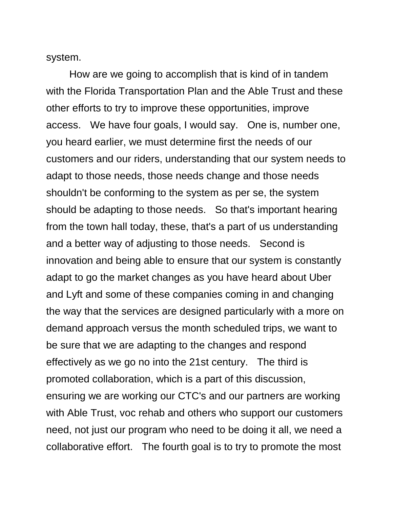system.

How are we going to accomplish that is kind of in tandem with the Florida Transportation Plan and the Able Trust and these other efforts to try to improve these opportunities, improve access. We have four goals, I would say. One is, number one, you heard earlier, we must determine first the needs of our customers and our riders, understanding that our system needs to adapt to those needs, those needs change and those needs shouldn't be conforming to the system as per se, the system should be adapting to those needs. So that's important hearing from the town hall today, these, that's a part of us understanding and a better way of adjusting to those needs. Second is innovation and being able to ensure that our system is constantly adapt to go the market changes as you have heard about Uber and Lyft and some of these companies coming in and changing the way that the services are designed particularly with a more on demand approach versus the month scheduled trips, we want to be sure that we are adapting to the changes and respond effectively as we go no into the 21st century. The third is promoted collaboration, which is a part of this discussion, ensuring we are working our CTC's and our partners are working with Able Trust, voc rehab and others who support our customers need, not just our program who need to be doing it all, we need a collaborative effort. The fourth goal is to try to promote the most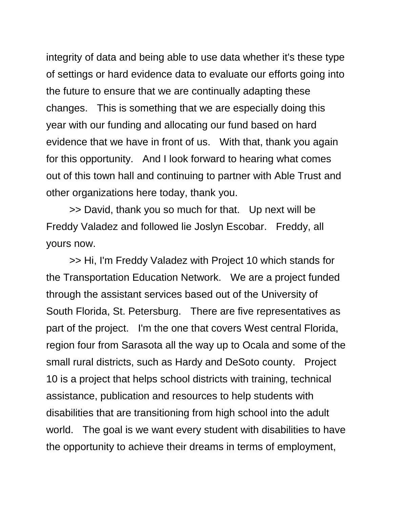integrity of data and being able to use data whether it's these type of settings or hard evidence data to evaluate our efforts going into the future to ensure that we are continually adapting these changes. This is something that we are especially doing this year with our funding and allocating our fund based on hard evidence that we have in front of us. With that, thank you again for this opportunity. And I look forward to hearing what comes out of this town hall and continuing to partner with Able Trust and other organizations here today, thank you.

>> David, thank you so much for that. Up next will be Freddy Valadez and followed lie Joslyn Escobar. Freddy, all yours now.

>> Hi, I'm Freddy Valadez with Project 10 which stands for the Transportation Education Network. We are a project funded through the assistant services based out of the University of South Florida, St. Petersburg. There are five representatives as part of the project. I'm the one that covers West central Florida, region four from Sarasota all the way up to Ocala and some of the small rural districts, such as Hardy and DeSoto county. Project 10 is a project that helps school districts with training, technical assistance, publication and resources to help students with disabilities that are transitioning from high school into the adult world. The goal is we want every student with disabilities to have the opportunity to achieve their dreams in terms of employment,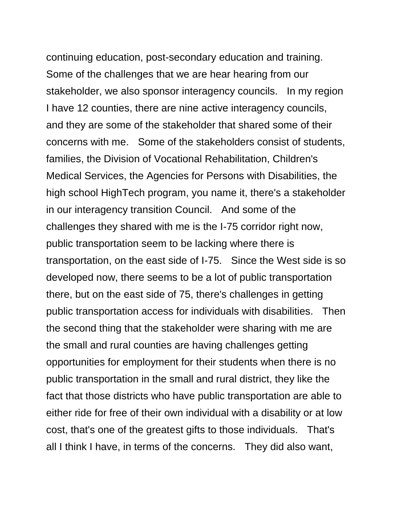continuing education, post-secondary education and training. Some of the challenges that we are hear hearing from our stakeholder, we also sponsor interagency councils. In my region I have 12 counties, there are nine active interagency councils, and they are some of the stakeholder that shared some of their concerns with me. Some of the stakeholders consist of students, families, the Division of Vocational Rehabilitation, Children's Medical Services, the Agencies for Persons with Disabilities, the high school HighTech program, you name it, there's a stakeholder in our interagency transition Council. And some of the challenges they shared with me is the I-75 corridor right now, public transportation seem to be lacking where there is transportation, on the east side of I-75. Since the West side is so developed now, there seems to be a lot of public transportation there, but on the east side of 75, there's challenges in getting public transportation access for individuals with disabilities. Then the second thing that the stakeholder were sharing with me are the small and rural counties are having challenges getting opportunities for employment for their students when there is no public transportation in the small and rural district, they like the fact that those districts who have public transportation are able to either ride for free of their own individual with a disability or at low cost, that's one of the greatest gifts to those individuals. That's all I think I have, in terms of the concerns. They did also want,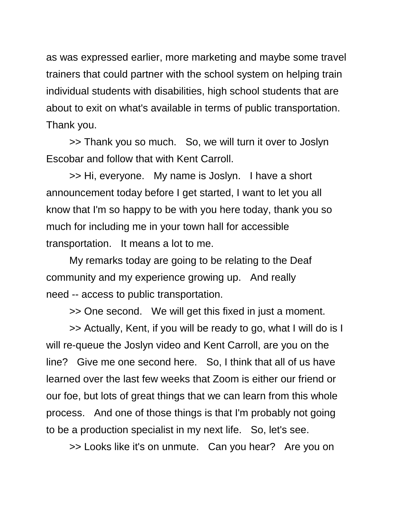as was expressed earlier, more marketing and maybe some travel trainers that could partner with the school system on helping train individual students with disabilities, high school students that are about to exit on what's available in terms of public transportation. Thank you.

>> Thank you so much. So, we will turn it over to Joslyn Escobar and follow that with Kent Carroll.

>> Hi, everyone. My name is Joslyn. I have a short announcement today before I get started, I want to let you all know that I'm so happy to be with you here today, thank you so much for including me in your town hall for accessible transportation. It means a lot to me.

My remarks today are going to be relating to the Deaf community and my experience growing up. And really need -- access to public transportation.

>> One second. We will get this fixed in just a moment.

>> Actually, Kent, if you will be ready to go, what I will do is I will re-queue the Joslyn video and Kent Carroll, are you on the line? Give me one second here. So, I think that all of us have learned over the last few weeks that Zoom is either our friend or our foe, but lots of great things that we can learn from this whole process. And one of those things is that I'm probably not going to be a production specialist in my next life. So, let's see.

>> Looks like it's on unmute. Can you hear? Are you on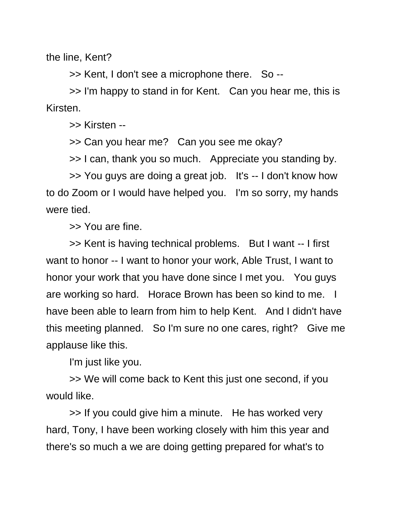the line, Kent?

>> Kent, I don't see a microphone there. So --

>> I'm happy to stand in for Kent. Can you hear me, this is Kirsten.

>> Kirsten --

>> Can you hear me? Can you see me okay?

>> I can, thank you so much. Appreciate you standing by.

>> You guys are doing a great job. It's -- I don't know how to do Zoom or I would have helped you. I'm so sorry, my hands were tied.

>> You are fine.

>> Kent is having technical problems. But I want -- I first want to honor -- I want to honor your work, Able Trust, I want to honor your work that you have done since I met you. You guys are working so hard. Horace Brown has been so kind to me. I have been able to learn from him to help Kent. And I didn't have this meeting planned. So I'm sure no one cares, right? Give me applause like this.

I'm just like you.

>> We will come back to Kent this just one second, if you would like.

>> If you could give him a minute. He has worked very hard, Tony, I have been working closely with him this year and there's so much a we are doing getting prepared for what's to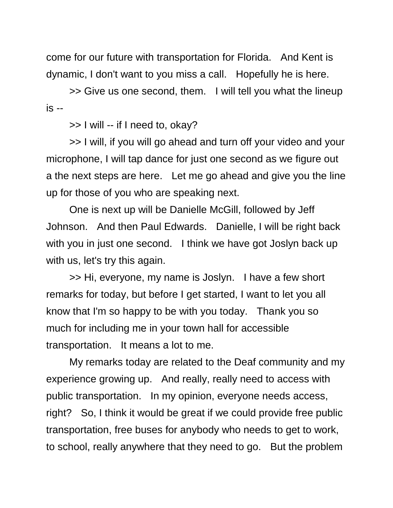come for our future with transportation for Florida. And Kent is dynamic, I don't want to you miss a call. Hopefully he is here.

>> Give us one second, them. I will tell you what the lineup is --

>> I will -- if I need to, okay?

>> I will, if you will go ahead and turn off your video and your microphone, I will tap dance for just one second as we figure out a the next steps are here. Let me go ahead and give you the line up for those of you who are speaking next.

One is next up will be Danielle McGill, followed by Jeff Johnson. And then Paul Edwards. Danielle, I will be right back with you in just one second. I think we have got Joslyn back up with us, let's try this again.

>> Hi, everyone, my name is Joslyn. I have a few short remarks for today, but before I get started, I want to let you all know that I'm so happy to be with you today. Thank you so much for including me in your town hall for accessible transportation. It means a lot to me.

My remarks today are related to the Deaf community and my experience growing up. And really, really need to access with public transportation. In my opinion, everyone needs access, right? So, I think it would be great if we could provide free public transportation, free buses for anybody who needs to get to work, to school, really anywhere that they need to go. But the problem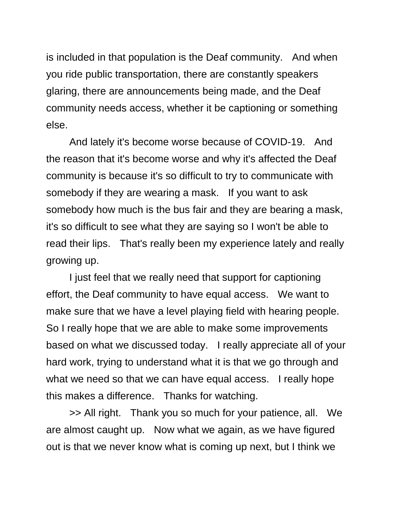is included in that population is the Deaf community. And when you ride public transportation, there are constantly speakers glaring, there are announcements being made, and the Deaf community needs access, whether it be captioning or something else.

And lately it's become worse because of COVID-19. And the reason that it's become worse and why it's affected the Deaf community is because it's so difficult to try to communicate with somebody if they are wearing a mask. If you want to ask somebody how much is the bus fair and they are bearing a mask, it's so difficult to see what they are saying so I won't be able to read their lips. That's really been my experience lately and really growing up.

I just feel that we really need that support for captioning effort, the Deaf community to have equal access. We want to make sure that we have a level playing field with hearing people. So I really hope that we are able to make some improvements based on what we discussed today. I really appreciate all of your hard work, trying to understand what it is that we go through and what we need so that we can have equal access. I really hope this makes a difference. Thanks for watching.

>> All right. Thank you so much for your patience, all. We are almost caught up. Now what we again, as we have figured out is that we never know what is coming up next, but I think we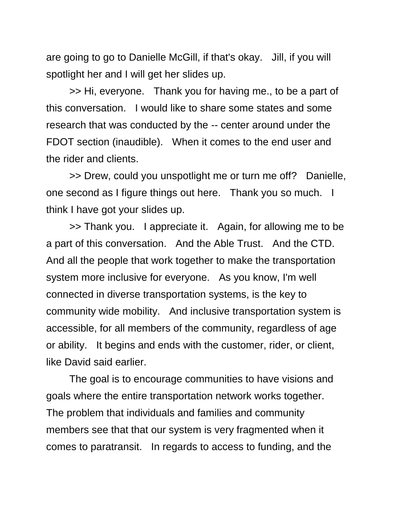are going to go to Danielle McGill, if that's okay. Jill, if you will spotlight her and I will get her slides up.

>> Hi, everyone. Thank you for having me., to be a part of this conversation. I would like to share some states and some research that was conducted by the -- center around under the FDOT section (inaudible). When it comes to the end user and the rider and clients.

>> Drew, could you unspotlight me or turn me off? Danielle, one second as I figure things out here. Thank you so much. I think I have got your slides up.

>> Thank you. I appreciate it. Again, for allowing me to be a part of this conversation. And the Able Trust. And the CTD. And all the people that work together to make the transportation system more inclusive for everyone. As you know, I'm well connected in diverse transportation systems, is the key to community wide mobility. And inclusive transportation system is accessible, for all members of the community, regardless of age or ability. It begins and ends with the customer, rider, or client, like David said earlier.

The goal is to encourage communities to have visions and goals where the entire transportation network works together. The problem that individuals and families and community members see that that our system is very fragmented when it comes to paratransit. In regards to access to funding, and the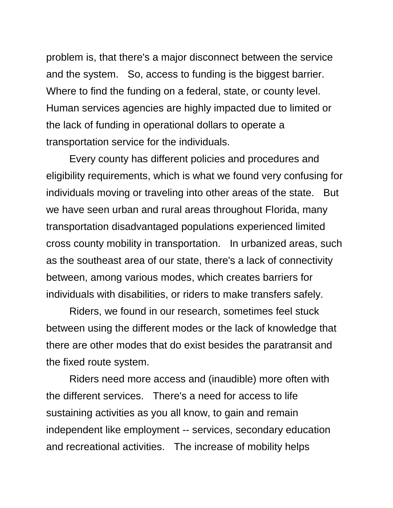problem is, that there's a major disconnect between the service and the system. So, access to funding is the biggest barrier. Where to find the funding on a federal, state, or county level. Human services agencies are highly impacted due to limited or the lack of funding in operational dollars to operate a transportation service for the individuals.

Every county has different policies and procedures and eligibility requirements, which is what we found very confusing for individuals moving or traveling into other areas of the state. But we have seen urban and rural areas throughout Florida, many transportation disadvantaged populations experienced limited cross county mobility in transportation. In urbanized areas, such as the southeast area of our state, there's a lack of connectivity between, among various modes, which creates barriers for individuals with disabilities, or riders to make transfers safely.

Riders, we found in our research, sometimes feel stuck between using the different modes or the lack of knowledge that there are other modes that do exist besides the paratransit and the fixed route system.

Riders need more access and (inaudible) more often with the different services. There's a need for access to life sustaining activities as you all know, to gain and remain independent like employment -- services, secondary education and recreational activities. The increase of mobility helps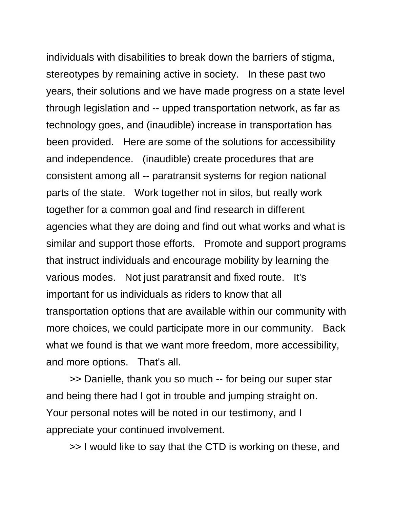individuals with disabilities to break down the barriers of stigma, stereotypes by remaining active in society. In these past two years, their solutions and we have made progress on a state level through legislation and -- upped transportation network, as far as technology goes, and (inaudible) increase in transportation has been provided. Here are some of the solutions for accessibility and independence. (inaudible) create procedures that are consistent among all -- paratransit systems for region national parts of the state. Work together not in silos, but really work together for a common goal and find research in different agencies what they are doing and find out what works and what is similar and support those efforts. Promote and support programs that instruct individuals and encourage mobility by learning the various modes. Not just paratransit and fixed route. It's important for us individuals as riders to know that all transportation options that are available within our community with more choices, we could participate more in our community. Back what we found is that we want more freedom, more accessibility, and more options. That's all.

>> Danielle, thank you so much -- for being our super star and being there had I got in trouble and jumping straight on. Your personal notes will be noted in our testimony, and I appreciate your continued involvement.

>> I would like to say that the CTD is working on these, and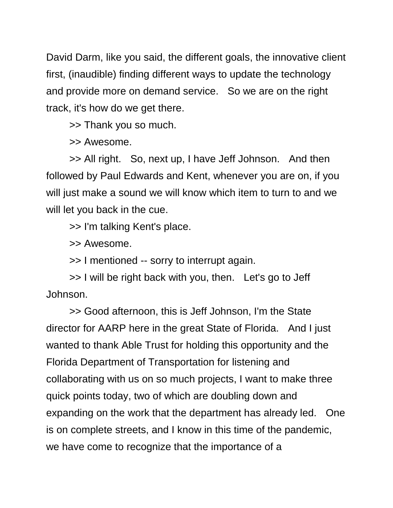David Darm, like you said, the different goals, the innovative client first, (inaudible) finding different ways to update the technology and provide more on demand service. So we are on the right track, it's how do we get there.

>> Thank you so much.

>> Awesome.

>> All right. So, next up, I have Jeff Johnson. And then followed by Paul Edwards and Kent, whenever you are on, if you will just make a sound we will know which item to turn to and we will let you back in the cue.

>> I'm talking Kent's place.

>> Awesome.

>> I mentioned -- sorry to interrupt again.

>> I will be right back with you, then. Let's go to Jeff Johnson.

>> Good afternoon, this is Jeff Johnson, I'm the State director for AARP here in the great State of Florida. And I just wanted to thank Able Trust for holding this opportunity and the Florida Department of Transportation for listening and collaborating with us on so much projects, I want to make three quick points today, two of which are doubling down and expanding on the work that the department has already led. One is on complete streets, and I know in this time of the pandemic, we have come to recognize that the importance of a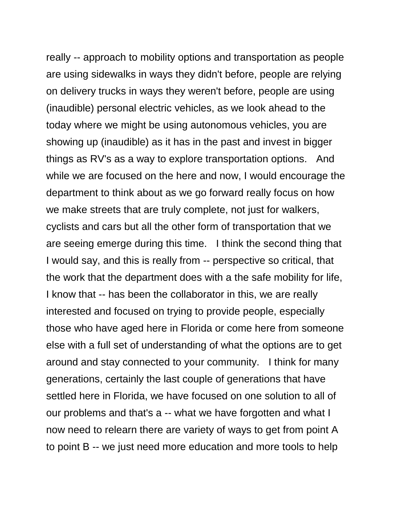really -- approach to mobility options and transportation as people are using sidewalks in ways they didn't before, people are relying on delivery trucks in ways they weren't before, people are using (inaudible) personal electric vehicles, as we look ahead to the today where we might be using autonomous vehicles, you are showing up (inaudible) as it has in the past and invest in bigger things as RV's as a way to explore transportation options. And while we are focused on the here and now, I would encourage the department to think about as we go forward really focus on how we make streets that are truly complete, not just for walkers, cyclists and cars but all the other form of transportation that we are seeing emerge during this time. I think the second thing that I would say, and this is really from -- perspective so critical, that the work that the department does with a the safe mobility for life, I know that -- has been the collaborator in this, we are really interested and focused on trying to provide people, especially those who have aged here in Florida or come here from someone else with a full set of understanding of what the options are to get around and stay connected to your community. I think for many generations, certainly the last couple of generations that have settled here in Florida, we have focused on one solution to all of our problems and that's a -- what we have forgotten and what I now need to relearn there are variety of ways to get from point A to point B -- we just need more education and more tools to help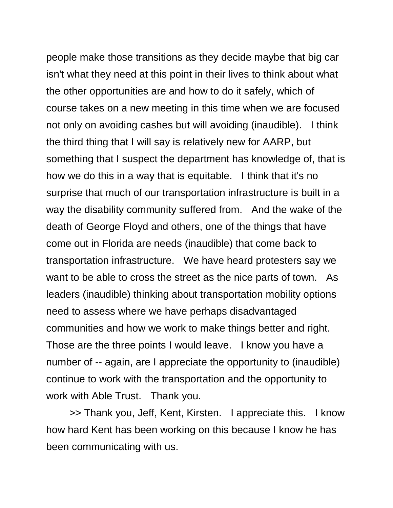people make those transitions as they decide maybe that big car isn't what they need at this point in their lives to think about what the other opportunities are and how to do it safely, which of course takes on a new meeting in this time when we are focused not only on avoiding cashes but will avoiding (inaudible). I think the third thing that I will say is relatively new for AARP, but something that I suspect the department has knowledge of, that is how we do this in a way that is equitable. I think that it's no surprise that much of our transportation infrastructure is built in a way the disability community suffered from. And the wake of the death of George Floyd and others, one of the things that have come out in Florida are needs (inaudible) that come back to transportation infrastructure. We have heard protesters say we want to be able to cross the street as the nice parts of town. As leaders (inaudible) thinking about transportation mobility options need to assess where we have perhaps disadvantaged communities and how we work to make things better and right. Those are the three points I would leave. I know you have a number of -- again, are I appreciate the opportunity to (inaudible) continue to work with the transportation and the opportunity to work with Able Trust. Thank you.

>> Thank you, Jeff, Kent, Kirsten. I appreciate this. I know how hard Kent has been working on this because I know he has been communicating with us.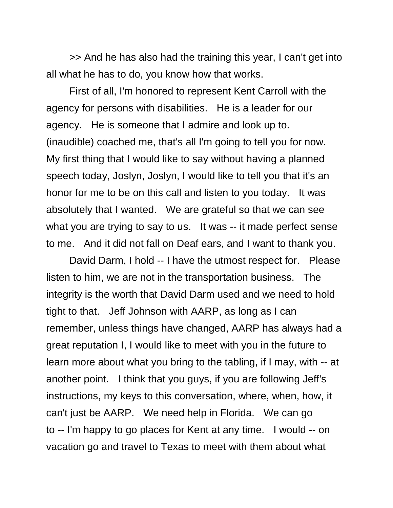>> And he has also had the training this year, I can't get into all what he has to do, you know how that works.

First of all, I'm honored to represent Kent Carroll with the agency for persons with disabilities. He is a leader for our agency. He is someone that I admire and look up to. (inaudible) coached me, that's all I'm going to tell you for now. My first thing that I would like to say without having a planned speech today, Joslyn, Joslyn, I would like to tell you that it's an honor for me to be on this call and listen to you today. It was absolutely that I wanted. We are grateful so that we can see what you are trying to say to us. It was -- it made perfect sense to me. And it did not fall on Deaf ears, and I want to thank you.

David Darm, I hold -- I have the utmost respect for. Please listen to him, we are not in the transportation business. The integrity is the worth that David Darm used and we need to hold tight to that. Jeff Johnson with AARP, as long as I can remember, unless things have changed, AARP has always had a great reputation I, I would like to meet with you in the future to learn more about what you bring to the tabling, if I may, with -- at another point. I think that you guys, if you are following Jeff's instructions, my keys to this conversation, where, when, how, it can't just be AARP. We need help in Florida. We can go to -- I'm happy to go places for Kent at any time. I would -- on vacation go and travel to Texas to meet with them about what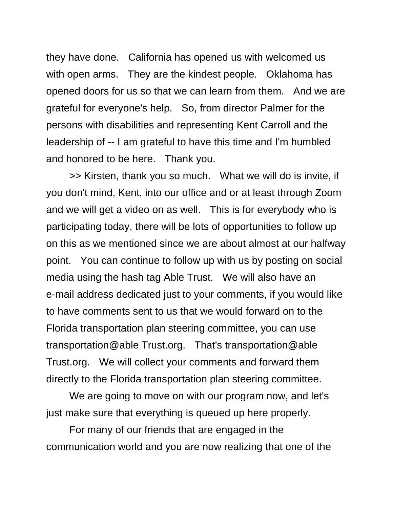they have done. California has opened us with welcomed us with open arms. They are the kindest people. Oklahoma has opened doors for us so that we can learn from them. And we are grateful for everyone's help. So, from director Palmer for the persons with disabilities and representing Kent Carroll and the leadership of -- I am grateful to have this time and I'm humbled and honored to be here. Thank you.

>> Kirsten, thank you so much. What we will do is invite, if you don't mind, Kent, into our office and or at least through Zoom and we will get a video on as well. This is for everybody who is participating today, there will be lots of opportunities to follow up on this as we mentioned since we are about almost at our halfway point. You can continue to follow up with us by posting on social media using the hash tag Able Trust. We will also have an e-mail address dedicated just to your comments, if you would like to have comments sent to us that we would forward on to the Florida transportation plan steering committee, you can use transportation@able Trust.org. That's transportation@able Trust.org. We will collect your comments and forward them directly to the Florida transportation plan steering committee.

We are going to move on with our program now, and let's just make sure that everything is queued up here properly.

For many of our friends that are engaged in the communication world and you are now realizing that one of the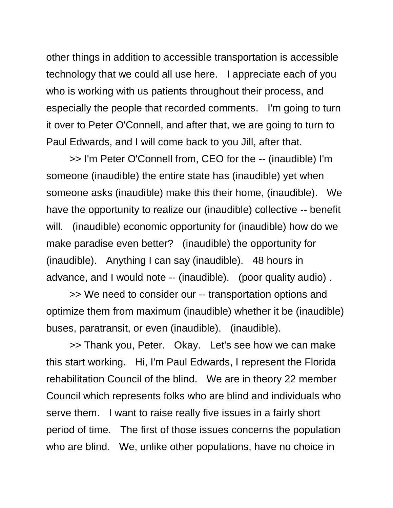other things in addition to accessible transportation is accessible technology that we could all use here. I appreciate each of you who is working with us patients throughout their process, and especially the people that recorded comments. I'm going to turn it over to Peter O'Connell, and after that, we are going to turn to Paul Edwards, and I will come back to you Jill, after that.

>> I'm Peter O'Connell from, CEO for the -- (inaudible) I'm someone (inaudible) the entire state has (inaudible) yet when someone asks (inaudible) make this their home, (inaudible). We have the opportunity to realize our (inaudible) collective -- benefit will. (inaudible) economic opportunity for (inaudible) how do we make paradise even better? (inaudible) the opportunity for (inaudible). Anything I can say (inaudible). 48 hours in advance, and I would note -- (inaudible). (poor quality audio) .

>> We need to consider our -- transportation options and optimize them from maximum (inaudible) whether it be (inaudible) buses, paratransit, or even (inaudible). (inaudible).

>> Thank you, Peter. Okay. Let's see how we can make this start working. Hi, I'm Paul Edwards, I represent the Florida rehabilitation Council of the blind. We are in theory 22 member Council which represents folks who are blind and individuals who serve them. I want to raise really five issues in a fairly short period of time. The first of those issues concerns the population who are blind. We, unlike other populations, have no choice in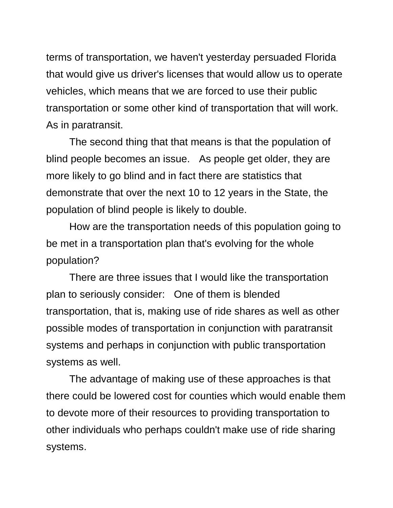terms of transportation, we haven't yesterday persuaded Florida that would give us driver's licenses that would allow us to operate vehicles, which means that we are forced to use their public transportation or some other kind of transportation that will work. As in paratransit.

The second thing that that means is that the population of blind people becomes an issue. As people get older, they are more likely to go blind and in fact there are statistics that demonstrate that over the next 10 to 12 years in the State, the population of blind people is likely to double.

How are the transportation needs of this population going to be met in a transportation plan that's evolving for the whole population?

There are three issues that I would like the transportation plan to seriously consider: One of them is blended transportation, that is, making use of ride shares as well as other possible modes of transportation in conjunction with paratransit systems and perhaps in conjunction with public transportation systems as well.

The advantage of making use of these approaches is that there could be lowered cost for counties which would enable them to devote more of their resources to providing transportation to other individuals who perhaps couldn't make use of ride sharing systems.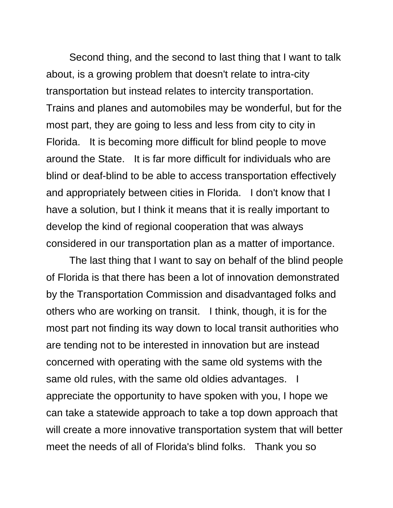Second thing, and the second to last thing that I want to talk about, is a growing problem that doesn't relate to intra-city transportation but instead relates to intercity transportation. Trains and planes and automobiles may be wonderful, but for the most part, they are going to less and less from city to city in Florida. It is becoming more difficult for blind people to move around the State. It is far more difficult for individuals who are blind or deaf-blind to be able to access transportation effectively and appropriately between cities in Florida. I don't know that I have a solution, but I think it means that it is really important to develop the kind of regional cooperation that was always considered in our transportation plan as a matter of importance.

The last thing that I want to say on behalf of the blind people of Florida is that there has been a lot of innovation demonstrated by the Transportation Commission and disadvantaged folks and others who are working on transit. I think, though, it is for the most part not finding its way down to local transit authorities who are tending not to be interested in innovation but are instead concerned with operating with the same old systems with the same old rules, with the same old oldies advantages. I appreciate the opportunity to have spoken with you, I hope we can take a statewide approach to take a top down approach that will create a more innovative transportation system that will better meet the needs of all of Florida's blind folks. Thank you so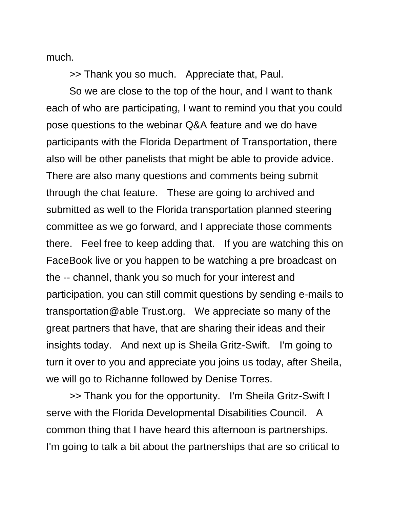much.

>> Thank you so much. Appreciate that, Paul.

So we are close to the top of the hour, and I want to thank each of who are participating, I want to remind you that you could pose questions to the webinar Q&A feature and we do have participants with the Florida Department of Transportation, there also will be other panelists that might be able to provide advice. There are also many questions and comments being submit through the chat feature. These are going to archived and submitted as well to the Florida transportation planned steering committee as we go forward, and I appreciate those comments there. Feel free to keep adding that. If you are watching this on FaceBook live or you happen to be watching a pre broadcast on the -- channel, thank you so much for your interest and participation, you can still commit questions by sending e-mails to transportation@able Trust.org. We appreciate so many of the great partners that have, that are sharing their ideas and their insights today. And next up is Sheila Gritz-Swift. I'm going to turn it over to you and appreciate you joins us today, after Sheila, we will go to Richanne followed by Denise Torres.

>> Thank you for the opportunity. I'm Sheila Gritz-Swift I serve with the Florida Developmental Disabilities Council. A common thing that I have heard this afternoon is partnerships. I'm going to talk a bit about the partnerships that are so critical to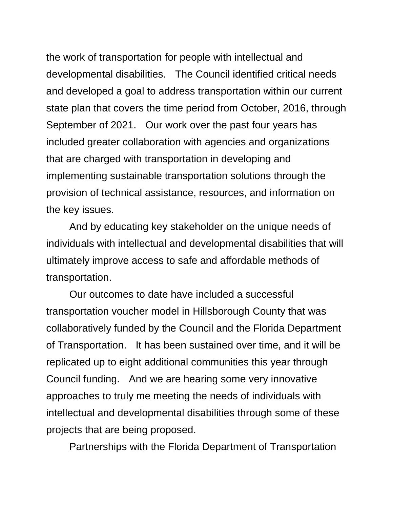the work of transportation for people with intellectual and developmental disabilities. The Council identified critical needs and developed a goal to address transportation within our current state plan that covers the time period from October, 2016, through September of 2021. Our work over the past four years has included greater collaboration with agencies and organizations that are charged with transportation in developing and implementing sustainable transportation solutions through the provision of technical assistance, resources, and information on the key issues.

And by educating key stakeholder on the unique needs of individuals with intellectual and developmental disabilities that will ultimately improve access to safe and affordable methods of transportation.

Our outcomes to date have included a successful transportation voucher model in Hillsborough County that was collaboratively funded by the Council and the Florida Department of Transportation. It has been sustained over time, and it will be replicated up to eight additional communities this year through Council funding. And we are hearing some very innovative approaches to truly me meeting the needs of individuals with intellectual and developmental disabilities through some of these projects that are being proposed.

Partnerships with the Florida Department of Transportation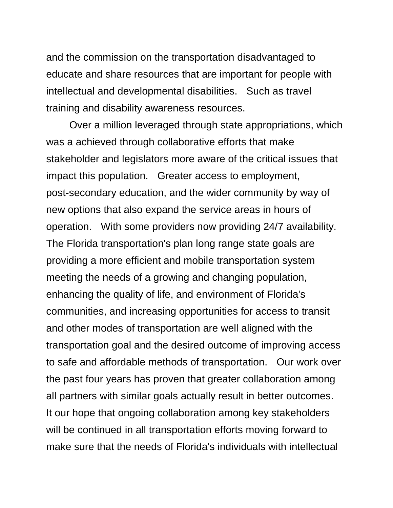and the commission on the transportation disadvantaged to educate and share resources that are important for people with intellectual and developmental disabilities. Such as travel training and disability awareness resources.

Over a million leveraged through state appropriations, which was a achieved through collaborative efforts that make stakeholder and legislators more aware of the critical issues that impact this population. Greater access to employment, post-secondary education, and the wider community by way of new options that also expand the service areas in hours of operation. With some providers now providing 24/7 availability. The Florida transportation's plan long range state goals are providing a more efficient and mobile transportation system meeting the needs of a growing and changing population, enhancing the quality of life, and environment of Florida's communities, and increasing opportunities for access to transit and other modes of transportation are well aligned with the transportation goal and the desired outcome of improving access to safe and affordable methods of transportation. Our work over the past four years has proven that greater collaboration among all partners with similar goals actually result in better outcomes. It our hope that ongoing collaboration among key stakeholders will be continued in all transportation efforts moving forward to make sure that the needs of Florida's individuals with intellectual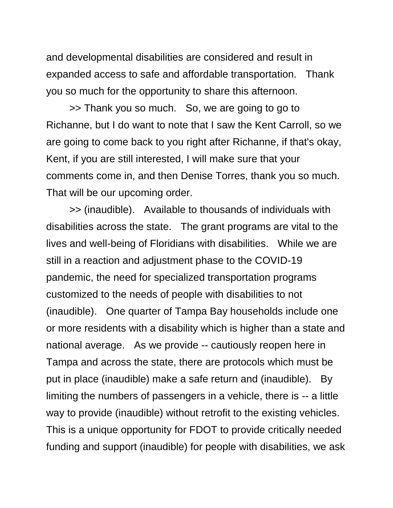and developmental disabilities are considered and result in expanded access to safe and affordable transportation. Thank you so much for the opportunity to share this afternoon.

>> Thank you so much. So, we are going to go to Richanne, but I do want to note that I saw the Kent Carroll, so we are going to come back to you right after Richanne, if that's okay, Kent, if you are still interested, I will make sure that your comments come in, and then Denise Torres, thank you so much. That will be our upcoming order.

>> (inaudible). Available to thousands of individuals with disabilities across the state. The grant programs are vital to the lives and well-being of Floridians with disabilities. While we are still in a reaction and adjustment phase to the COVID-19 pandemic, the need for specialized transportation programs customized to the needs of people with disabilities to not (inaudible). One quarter of Tampa Bay households include one or more residents with a disability which is higher than a state and national average. As we provide -- cautiously reopen here in Tampa and across the state, there are protocols which must be put in place (inaudible) make a safe return and (inaudible). By limiting the numbers of passengers in a vehicle, there is -- a little way to provide (inaudible) without retrofit to the existing vehicles. This is a unique opportunity for FDOT to provide critically needed funding and support (inaudible) for people with disabilities, we ask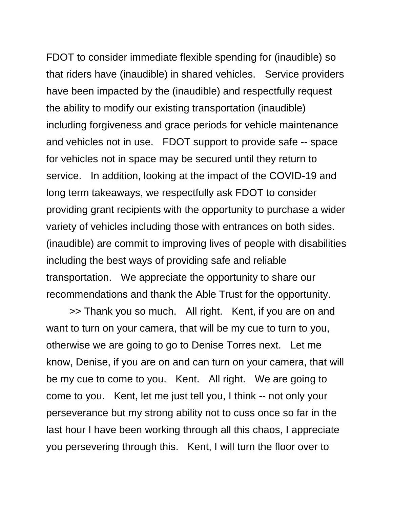FDOT to consider immediate flexible spending for (inaudible) so that riders have (inaudible) in shared vehicles. Service providers have been impacted by the (inaudible) and respectfully request the ability to modify our existing transportation (inaudible) including forgiveness and grace periods for vehicle maintenance and vehicles not in use. FDOT support to provide safe -- space for vehicles not in space may be secured until they return to service. In addition, looking at the impact of the COVID-19 and long term takeaways, we respectfully ask FDOT to consider providing grant recipients with the opportunity to purchase a wider variety of vehicles including those with entrances on both sides. (inaudible) are commit to improving lives of people with disabilities including the best ways of providing safe and reliable transportation. We appreciate the opportunity to share our recommendations and thank the Able Trust for the opportunity.

>> Thank you so much. All right. Kent, if you are on and want to turn on your camera, that will be my cue to turn to you, otherwise we are going to go to Denise Torres next. Let me know, Denise, if you are on and can turn on your camera, that will be my cue to come to you. Kent. All right. We are going to come to you. Kent, let me just tell you, I think -- not only your perseverance but my strong ability not to cuss once so far in the last hour I have been working through all this chaos, I appreciate you persevering through this. Kent, I will turn the floor over to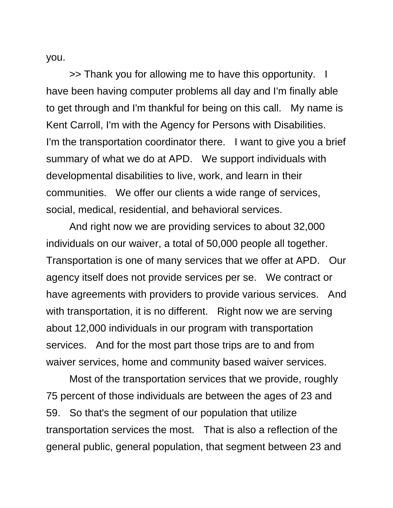you.

>> Thank you for allowing me to have this opportunity. I have been having computer problems all day and I'm finally able to get through and I'm thankful for being on this call. My name is Kent Carroll, I'm with the Agency for Persons with Disabilities. I'm the transportation coordinator there. I want to give you a brief summary of what we do at APD. We support individuals with developmental disabilities to live, work, and learn in their communities. We offer our clients a wide range of services, social, medical, residential, and behavioral services.

And right now we are providing services to about 32,000 individuals on our waiver, a total of 50,000 people all together. Transportation is one of many services that we offer at APD. Our agency itself does not provide services per se. We contract or have agreements with providers to provide various services. And with transportation, it is no different. Right now we are serving about 12,000 individuals in our program with transportation services. And for the most part those trips are to and from waiver services, home and community based waiver services.

Most of the transportation services that we provide, roughly 75 percent of those individuals are between the ages of 23 and 59. So that's the segment of our population that utilize transportation services the most. That is also a reflection of the general public, general population, that segment between 23 and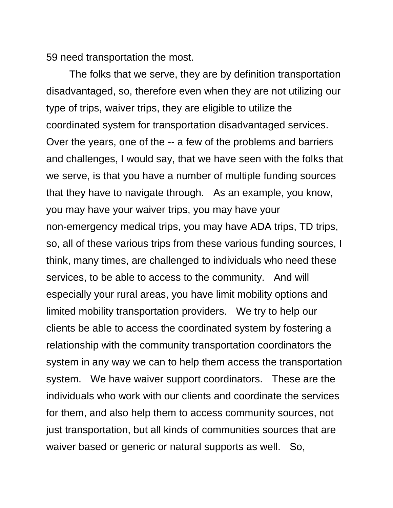59 need transportation the most.

The folks that we serve, they are by definition transportation disadvantaged, so, therefore even when they are not utilizing our type of trips, waiver trips, they are eligible to utilize the coordinated system for transportation disadvantaged services. Over the years, one of the -- a few of the problems and barriers and challenges, I would say, that we have seen with the folks that we serve, is that you have a number of multiple funding sources that they have to navigate through. As an example, you know, you may have your waiver trips, you may have your non-emergency medical trips, you may have ADA trips, TD trips, so, all of these various trips from these various funding sources, I think, many times, are challenged to individuals who need these services, to be able to access to the community. And will especially your rural areas, you have limit mobility options and limited mobility transportation providers. We try to help our clients be able to access the coordinated system by fostering a relationship with the community transportation coordinators the system in any way we can to help them access the transportation system. We have waiver support coordinators. These are the individuals who work with our clients and coordinate the services for them, and also help them to access community sources, not just transportation, but all kinds of communities sources that are waiver based or generic or natural supports as well. So,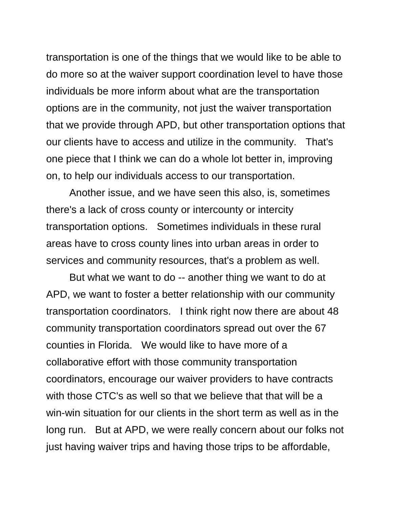transportation is one of the things that we would like to be able to do more so at the waiver support coordination level to have those individuals be more inform about what are the transportation options are in the community, not just the waiver transportation that we provide through APD, but other transportation options that our clients have to access and utilize in the community. That's one piece that I think we can do a whole lot better in, improving on, to help our individuals access to our transportation.

Another issue, and we have seen this also, is, sometimes there's a lack of cross county or intercounty or intercity transportation options. Sometimes individuals in these rural areas have to cross county lines into urban areas in order to services and community resources, that's a problem as well.

But what we want to do -- another thing we want to do at APD, we want to foster a better relationship with our community transportation coordinators. I think right now there are about 48 community transportation coordinators spread out over the 67 counties in Florida. We would like to have more of a collaborative effort with those community transportation coordinators, encourage our waiver providers to have contracts with those CTC's as well so that we believe that that will be a win-win situation for our clients in the short term as well as in the long run. But at APD, we were really concern about our folks not just having waiver trips and having those trips to be affordable,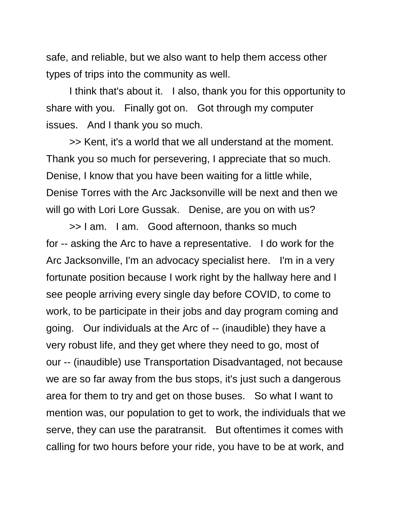safe, and reliable, but we also want to help them access other types of trips into the community as well.

I think that's about it. I also, thank you for this opportunity to share with you. Finally got on. Got through my computer issues. And I thank you so much.

>> Kent, it's a world that we all understand at the moment. Thank you so much for persevering, I appreciate that so much. Denise, I know that you have been waiting for a little while, Denise Torres with the Arc Jacksonville will be next and then we will go with Lori Lore Gussak. Denise, are you on with us?

>> I am. I am. Good afternoon, thanks so much for -- asking the Arc to have a representative. I do work for the Arc Jacksonville, I'm an advocacy specialist here. I'm in a very fortunate position because I work right by the hallway here and I see people arriving every single day before COVID, to come to work, to be participate in their jobs and day program coming and going. Our individuals at the Arc of -- (inaudible) they have a very robust life, and they get where they need to go, most of our -- (inaudible) use Transportation Disadvantaged, not because we are so far away from the bus stops, it's just such a dangerous area for them to try and get on those buses. So what I want to mention was, our population to get to work, the individuals that we serve, they can use the paratransit. But oftentimes it comes with calling for two hours before your ride, you have to be at work, and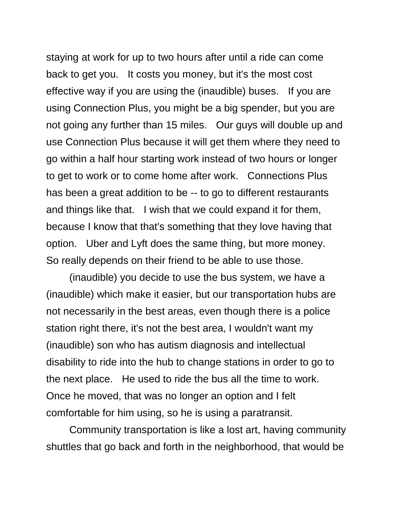staying at work for up to two hours after until a ride can come back to get you. It costs you money, but it's the most cost effective way if you are using the (inaudible) buses. If you are using Connection Plus, you might be a big spender, but you are not going any further than 15 miles. Our guys will double up and use Connection Plus because it will get them where they need to go within a half hour starting work instead of two hours or longer to get to work or to come home after work. Connections Plus has been a great addition to be -- to go to different restaurants and things like that. I wish that we could expand it for them, because I know that that's something that they love having that option. Uber and Lyft does the same thing, but more money. So really depends on their friend to be able to use those.

(inaudible) you decide to use the bus system, we have a (inaudible) which make it easier, but our transportation hubs are not necessarily in the best areas, even though there is a police station right there, it's not the best area, I wouldn't want my (inaudible) son who has autism diagnosis and intellectual disability to ride into the hub to change stations in order to go to the next place. He used to ride the bus all the time to work. Once he moved, that was no longer an option and I felt comfortable for him using, so he is using a paratransit.

Community transportation is like a lost art, having community shuttles that go back and forth in the neighborhood, that would be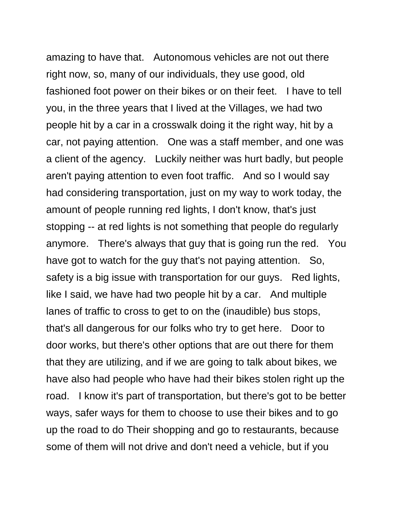amazing to have that. Autonomous vehicles are not out there right now, so, many of our individuals, they use good, old fashioned foot power on their bikes or on their feet. I have to tell you, in the three years that I lived at the Villages, we had two people hit by a car in a crosswalk doing it the right way, hit by a car, not paying attention. One was a staff member, and one was a client of the agency. Luckily neither was hurt badly, but people aren't paying attention to even foot traffic. And so I would say had considering transportation, just on my way to work today, the amount of people running red lights, I don't know, that's just stopping -- at red lights is not something that people do regularly anymore. There's always that guy that is going run the red. You have got to watch for the guy that's not paying attention. So, safety is a big issue with transportation for our guys. Red lights, like I said, we have had two people hit by a car. And multiple lanes of traffic to cross to get to on the (inaudible) bus stops, that's all dangerous for our folks who try to get here. Door to door works, but there's other options that are out there for them that they are utilizing, and if we are going to talk about bikes, we have also had people who have had their bikes stolen right up the road. I know it's part of transportation, but there's got to be better ways, safer ways for them to choose to use their bikes and to go up the road to do Their shopping and go to restaurants, because some of them will not drive and don't need a vehicle, but if you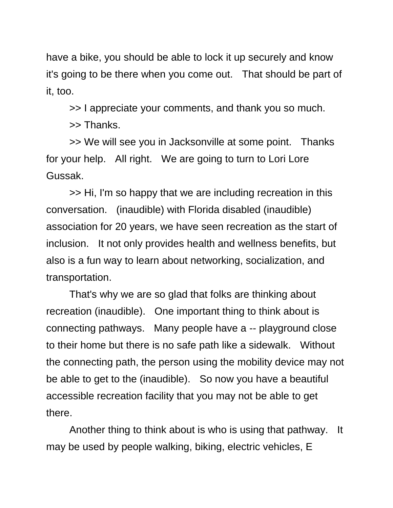have a bike, you should be able to lock it up securely and know it's going to be there when you come out. That should be part of it, too.

>> I appreciate your comments, and thank you so much.

>> Thanks.

>> We will see you in Jacksonville at some point. Thanks for your help. All right. We are going to turn to Lori Lore Gussak.

>> Hi, I'm so happy that we are including recreation in this conversation. (inaudible) with Florida disabled (inaudible) association for 20 years, we have seen recreation as the start of inclusion. It not only provides health and wellness benefits, but also is a fun way to learn about networking, socialization, and transportation.

That's why we are so glad that folks are thinking about recreation (inaudible). One important thing to think about is connecting pathways. Many people have a -- playground close to their home but there is no safe path like a sidewalk. Without the connecting path, the person using the mobility device may not be able to get to the (inaudible). So now you have a beautiful accessible recreation facility that you may not be able to get there.

Another thing to think about is who is using that pathway. It may be used by people walking, biking, electric vehicles, E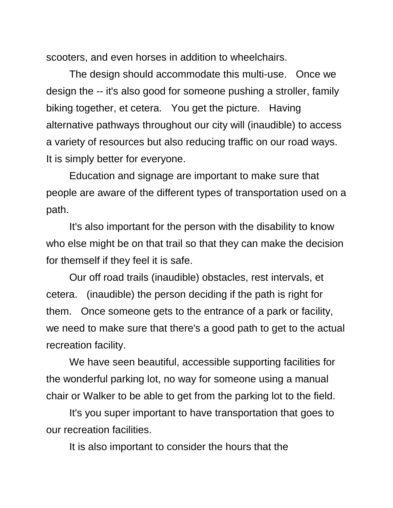scooters, and even horses in addition to wheelchairs.

The design should accommodate this multi-use. Once we design the -- it's also good for someone pushing a stroller, family biking together, et cetera. You get the picture. Having alternative pathways throughout our city will (inaudible) to access a variety of resources but also reducing traffic on our road ways. It is simply better for everyone.

Education and signage are important to make sure that people are aware of the different types of transportation used on a path.

It's also important for the person with the disability to know who else might be on that trail so that they can make the decision for themself if they feel it is safe.

Our off road trails (inaudible) obstacles, rest intervals, et cetera. (inaudible) the person deciding if the path is right for them. Once someone gets to the entrance of a park or facility, we need to make sure that there's a good path to get to the actual recreation facility.

We have seen beautiful, accessible supporting facilities for the wonderful parking lot, no way for someone using a manual chair or Walker to be able to get from the parking lot to the field.

It's you super important to have transportation that goes to our recreation facilities.

It is also important to consider the hours that the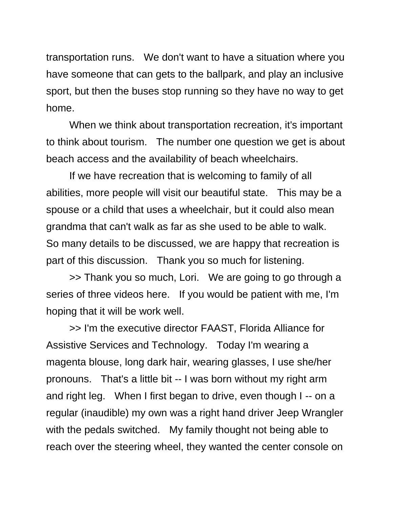transportation runs. We don't want to have a situation where you have someone that can gets to the ballpark, and play an inclusive sport, but then the buses stop running so they have no way to get home.

When we think about transportation recreation, it's important to think about tourism. The number one question we get is about beach access and the availability of beach wheelchairs.

If we have recreation that is welcoming to family of all abilities, more people will visit our beautiful state. This may be a spouse or a child that uses a wheelchair, but it could also mean grandma that can't walk as far as she used to be able to walk. So many details to be discussed, we are happy that recreation is part of this discussion. Thank you so much for listening.

>> Thank you so much, Lori. We are going to go through a series of three videos here. If you would be patient with me, I'm hoping that it will be work well.

>> I'm the executive director FAAST, Florida Alliance for Assistive Services and Technology. Today I'm wearing a magenta blouse, long dark hair, wearing glasses, I use she/her pronouns. That's a little bit -- I was born without my right arm and right leg. When I first began to drive, even though I -- on a regular (inaudible) my own was a right hand driver Jeep Wrangler with the pedals switched. My family thought not being able to reach over the steering wheel, they wanted the center console on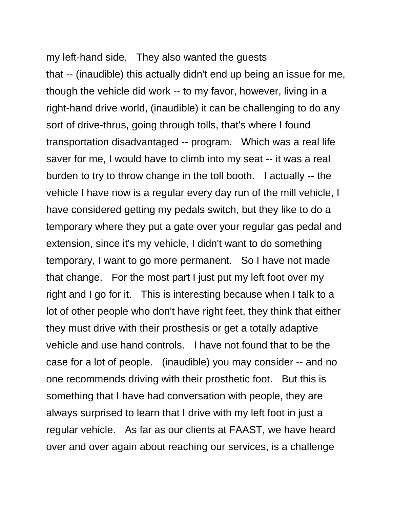my left-hand side. They also wanted the guests that -- (inaudible) this actually didn't end up being an issue for me, though the vehicle did work -- to my favor, however, living in a right-hand drive world, (inaudible) it can be challenging to do any sort of drive-thrus, going through tolls, that's where I found transportation disadvantaged -- program. Which was a real life saver for me, I would have to climb into my seat -- it was a real burden to try to throw change in the toll booth. I actually -- the vehicle I have now is a regular every day run of the mill vehicle, I have considered getting my pedals switch, but they like to do a temporary where they put a gate over your regular gas pedal and extension, since it's my vehicle, I didn't want to do something temporary, I want to go more permanent. So I have not made that change. For the most part I just put my left foot over my right and I go for it. This is interesting because when I talk to a lot of other people who don't have right feet, they think that either they must drive with their prosthesis or get a totally adaptive vehicle and use hand controls. I have not found that to be the case for a lot of people. (inaudible) you may consider -- and no one recommends driving with their prosthetic foot. But this is something that I have had conversation with people, they are always surprised to learn that I drive with my left foot in just a regular vehicle. As far as our clients at FAAST, we have heard over and over again about reaching our services, is a challenge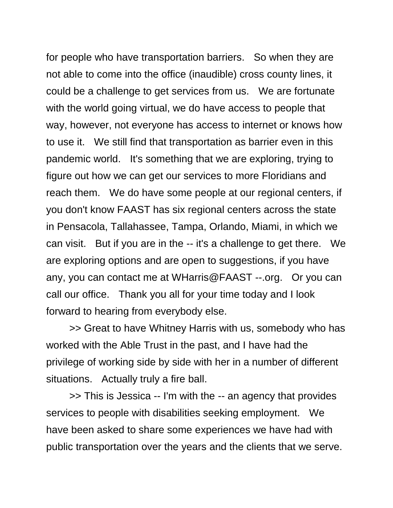for people who have transportation barriers. So when they are not able to come into the office (inaudible) cross county lines, it could be a challenge to get services from us. We are fortunate with the world going virtual, we do have access to people that way, however, not everyone has access to internet or knows how to use it. We still find that transportation as barrier even in this pandemic world. It's something that we are exploring, trying to figure out how we can get our services to more Floridians and reach them. We do have some people at our regional centers, if you don't know FAAST has six regional centers across the state in Pensacola, Tallahassee, Tampa, Orlando, Miami, in which we can visit. But if you are in the -- it's a challenge to get there. We are exploring options and are open to suggestions, if you have any, you can contact me at WHarris@FAAST --.org. Or you can call our office. Thank you all for your time today and I look forward to hearing from everybody else.

>> Great to have Whitney Harris with us, somebody who has worked with the Able Trust in the past, and I have had the privilege of working side by side with her in a number of different situations. Actually truly a fire ball.

>> This is Jessica -- I'm with the -- an agency that provides services to people with disabilities seeking employment. We have been asked to share some experiences we have had with public transportation over the years and the clients that we serve.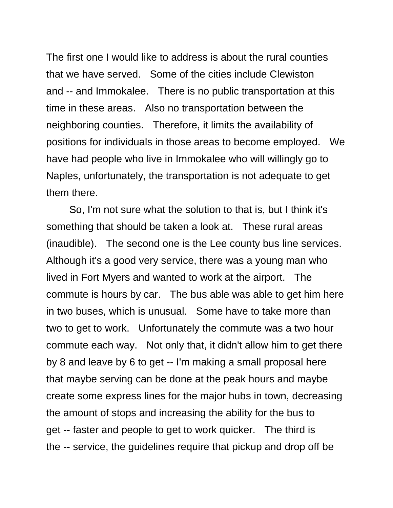The first one I would like to address is about the rural counties that we have served. Some of the cities include Clewiston and -- and Immokalee. There is no public transportation at this time in these areas. Also no transportation between the neighboring counties. Therefore, it limits the availability of positions for individuals in those areas to become employed. We have had people who live in Immokalee who will willingly go to Naples, unfortunately, the transportation is not adequate to get them there.

So, I'm not sure what the solution to that is, but I think it's something that should be taken a look at. These rural areas (inaudible). The second one is the Lee county bus line services. Although it's a good very service, there was a young man who lived in Fort Myers and wanted to work at the airport. The commute is hours by car. The bus able was able to get him here in two buses, which is unusual. Some have to take more than two to get to work. Unfortunately the commute was a two hour commute each way. Not only that, it didn't allow him to get there by 8 and leave by 6 to get -- I'm making a small proposal here that maybe serving can be done at the peak hours and maybe create some express lines for the major hubs in town, decreasing the amount of stops and increasing the ability for the bus to get -- faster and people to get to work quicker. The third is the -- service, the guidelines require that pickup and drop off be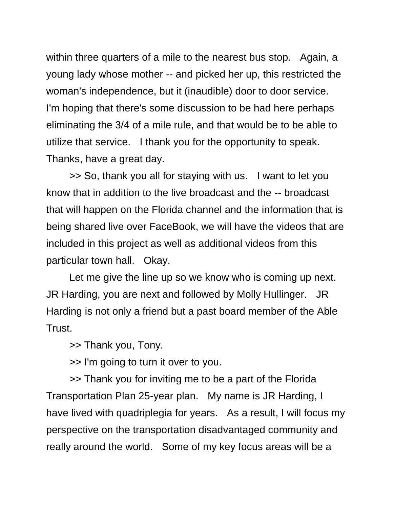within three quarters of a mile to the nearest bus stop. Again, a young lady whose mother -- and picked her up, this restricted the woman's independence, but it (inaudible) door to door service. I'm hoping that there's some discussion to be had here perhaps eliminating the 3/4 of a mile rule, and that would be to be able to utilize that service. I thank you for the opportunity to speak. Thanks, have a great day.

>> So, thank you all for staying with us. I want to let you know that in addition to the live broadcast and the -- broadcast that will happen on the Florida channel and the information that is being shared live over FaceBook, we will have the videos that are included in this project as well as additional videos from this particular town hall. Okay.

Let me give the line up so we know who is coming up next. JR Harding, you are next and followed by Molly Hullinger. JR Harding is not only a friend but a past board member of the Able Trust.

>> Thank you, Tony.

>> I'm going to turn it over to you.

>> Thank you for inviting me to be a part of the Florida Transportation Plan 25-year plan. My name is JR Harding, I have lived with quadriplegia for years. As a result, I will focus my perspective on the transportation disadvantaged community and really around the world. Some of my key focus areas will be a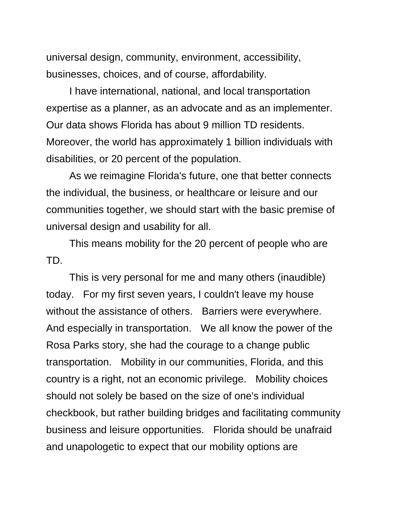universal design, community, environment, accessibility, businesses, choices, and of course, affordability.

I have international, national, and local transportation expertise as a planner, as an advocate and as an implementer. Our data shows Florida has about 9 million TD residents. Moreover, the world has approximately 1 billion individuals with disabilities, or 20 percent of the population.

As we reimagine Florida's future, one that better connects the individual, the business, or healthcare or leisure and our communities together, we should start with the basic premise of universal design and usability for all.

This means mobility for the 20 percent of people who are TD.

This is very personal for me and many others (inaudible) today. For my first seven years, I couldn't leave my house without the assistance of others. Barriers were everywhere. And especially in transportation. We all know the power of the Rosa Parks story, she had the courage to a change public transportation. Mobility in our communities, Florida, and this country is a right, not an economic privilege. Mobility choices should not solely be based on the size of one's individual checkbook, but rather building bridges and facilitating community business and leisure opportunities. Florida should be unafraid and unapologetic to expect that our mobility options are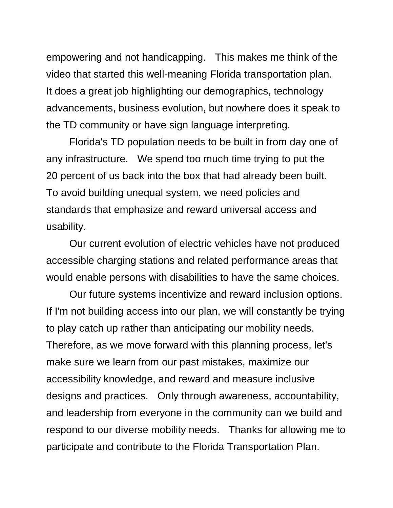empowering and not handicapping. This makes me think of the video that started this well-meaning Florida transportation plan. It does a great job highlighting our demographics, technology advancements, business evolution, but nowhere does it speak to the TD community or have sign language interpreting.

Florida's TD population needs to be built in from day one of any infrastructure. We spend too much time trying to put the 20 percent of us back into the box that had already been built. To avoid building unequal system, we need policies and standards that emphasize and reward universal access and usability.

Our current evolution of electric vehicles have not produced accessible charging stations and related performance areas that would enable persons with disabilities to have the same choices.

Our future systems incentivize and reward inclusion options. If I'm not building access into our plan, we will constantly be trying to play catch up rather than anticipating our mobility needs. Therefore, as we move forward with this planning process, let's make sure we learn from our past mistakes, maximize our accessibility knowledge, and reward and measure inclusive designs and practices. Only through awareness, accountability, and leadership from everyone in the community can we build and respond to our diverse mobility needs. Thanks for allowing me to participate and contribute to the Florida Transportation Plan.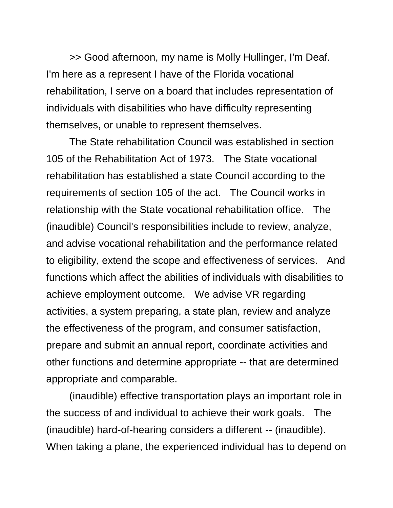>> Good afternoon, my name is Molly Hullinger, I'm Deaf. I'm here as a represent I have of the Florida vocational rehabilitation, I serve on a board that includes representation of individuals with disabilities who have difficulty representing themselves, or unable to represent themselves.

The State rehabilitation Council was established in section 105 of the Rehabilitation Act of 1973. The State vocational rehabilitation has established a state Council according to the requirements of section 105 of the act. The Council works in relationship with the State vocational rehabilitation office. The (inaudible) Council's responsibilities include to review, analyze, and advise vocational rehabilitation and the performance related to eligibility, extend the scope and effectiveness of services. And functions which affect the abilities of individuals with disabilities to achieve employment outcome. We advise VR regarding activities, a system preparing, a state plan, review and analyze the effectiveness of the program, and consumer satisfaction, prepare and submit an annual report, coordinate activities and other functions and determine appropriate -- that are determined appropriate and comparable.

(inaudible) effective transportation plays an important role in the success of and individual to achieve their work goals. The (inaudible) hard-of-hearing considers a different -- (inaudible). When taking a plane, the experienced individual has to depend on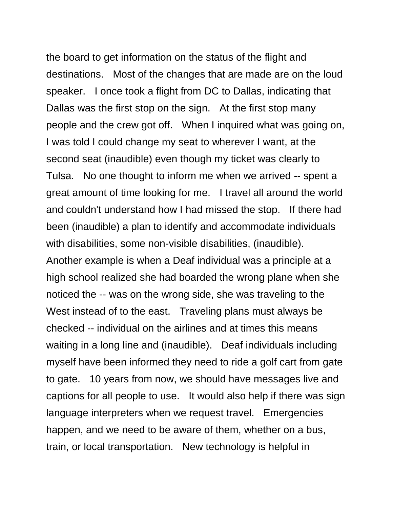the board to get information on the status of the flight and destinations. Most of the changes that are made are on the loud speaker. I once took a flight from DC to Dallas, indicating that Dallas was the first stop on the sign. At the first stop many people and the crew got off. When I inquired what was going on, I was told I could change my seat to wherever I want, at the second seat (inaudible) even though my ticket was clearly to Tulsa. No one thought to inform me when we arrived -- spent a great amount of time looking for me. I travel all around the world and couldn't understand how I had missed the stop. If there had been (inaudible) a plan to identify and accommodate individuals with disabilities, some non-visible disabilities, (inaudible). Another example is when a Deaf individual was a principle at a high school realized she had boarded the wrong plane when she noticed the -- was on the wrong side, she was traveling to the West instead of to the east. Traveling plans must always be checked -- individual on the airlines and at times this means waiting in a long line and (inaudible). Deaf individuals including myself have been informed they need to ride a golf cart from gate to gate. 10 years from now, we should have messages live and captions for all people to use. It would also help if there was sign language interpreters when we request travel. Emergencies happen, and we need to be aware of them, whether on a bus, train, or local transportation. New technology is helpful in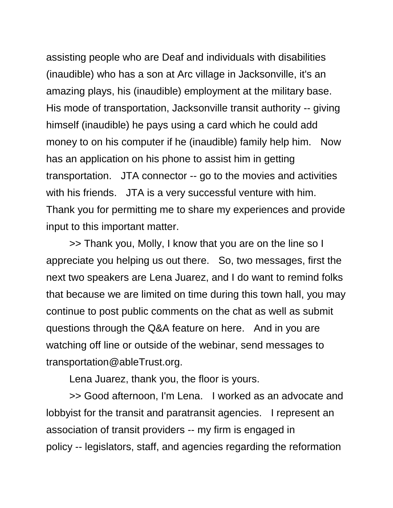assisting people who are Deaf and individuals with disabilities (inaudible) who has a son at Arc village in Jacksonville, it's an amazing plays, his (inaudible) employment at the military base. His mode of transportation, Jacksonville transit authority -- giving himself (inaudible) he pays using a card which he could add money to on his computer if he (inaudible) family help him. Now has an application on his phone to assist him in getting transportation. JTA connector -- go to the movies and activities with his friends. JTA is a very successful venture with him. Thank you for permitting me to share my experiences and provide input to this important matter.

>> Thank you, Molly, I know that you are on the line so I appreciate you helping us out there. So, two messages, first the next two speakers are Lena Juarez, and I do want to remind folks that because we are limited on time during this town hall, you may continue to post public comments on the chat as well as submit questions through the Q&A feature on here. And in you are watching off line or outside of the webinar, send messages to transportation@ableTrust.org.

Lena Juarez, thank you, the floor is yours.

>> Good afternoon, I'm Lena. I worked as an advocate and lobbyist for the transit and paratransit agencies. I represent an association of transit providers -- my firm is engaged in policy -- legislators, staff, and agencies regarding the reformation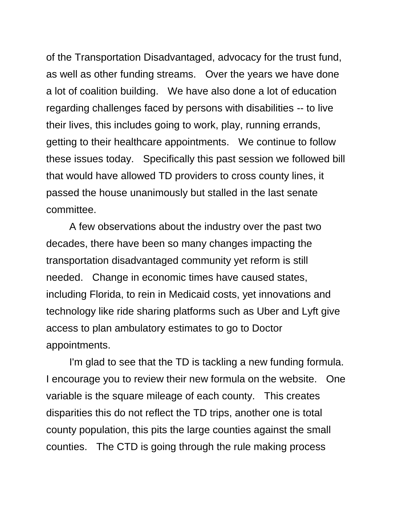of the Transportation Disadvantaged, advocacy for the trust fund, as well as other funding streams. Over the years we have done a lot of coalition building. We have also done a lot of education regarding challenges faced by persons with disabilities -- to live their lives, this includes going to work, play, running errands, getting to their healthcare appointments. We continue to follow these issues today. Specifically this past session we followed bill that would have allowed TD providers to cross county lines, it passed the house unanimously but stalled in the last senate committee.

A few observations about the industry over the past two decades, there have been so many changes impacting the transportation disadvantaged community yet reform is still needed. Change in economic times have caused states, including Florida, to rein in Medicaid costs, yet innovations and technology like ride sharing platforms such as Uber and Lyft give access to plan ambulatory estimates to go to Doctor appointments.

I'm glad to see that the TD is tackling a new funding formula. I encourage you to review their new formula on the website. One variable is the square mileage of each county. This creates disparities this do not reflect the TD trips, another one is total county population, this pits the large counties against the small counties. The CTD is going through the rule making process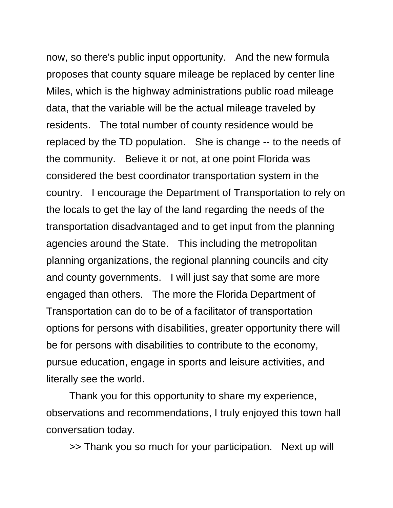now, so there's public input opportunity. And the new formula proposes that county square mileage be replaced by center line Miles, which is the highway administrations public road mileage data, that the variable will be the actual mileage traveled by residents. The total number of county residence would be replaced by the TD population. She is change -- to the needs of the community. Believe it or not, at one point Florida was considered the best coordinator transportation system in the country. I encourage the Department of Transportation to rely on the locals to get the lay of the land regarding the needs of the transportation disadvantaged and to get input from the planning agencies around the State. This including the metropolitan planning organizations, the regional planning councils and city and county governments. I will just say that some are more engaged than others. The more the Florida Department of Transportation can do to be of a facilitator of transportation options for persons with disabilities, greater opportunity there will be for persons with disabilities to contribute to the economy, pursue education, engage in sports and leisure activities, and literally see the world.

Thank you for this opportunity to share my experience, observations and recommendations, I truly enjoyed this town hall conversation today.

>> Thank you so much for your participation. Next up will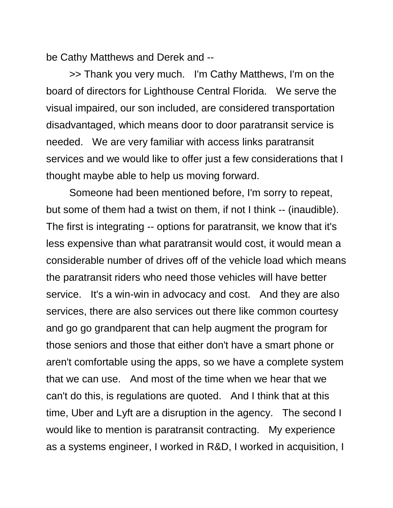be Cathy Matthews and Derek and --

>> Thank you very much. I'm Cathy Matthews, I'm on the board of directors for Lighthouse Central Florida. We serve the visual impaired, our son included, are considered transportation disadvantaged, which means door to door paratransit service is needed. We are very familiar with access links paratransit services and we would like to offer just a few considerations that I thought maybe able to help us moving forward.

Someone had been mentioned before, I'm sorry to repeat, but some of them had a twist on them, if not I think -- (inaudible). The first is integrating -- options for paratransit, we know that it's less expensive than what paratransit would cost, it would mean a considerable number of drives off of the vehicle load which means the paratransit riders who need those vehicles will have better service. It's a win-win in advocacy and cost. And they are also services, there are also services out there like common courtesy and go go grandparent that can help augment the program for those seniors and those that either don't have a smart phone or aren't comfortable using the apps, so we have a complete system that we can use. And most of the time when we hear that we can't do this, is regulations are quoted. And I think that at this time, Uber and Lyft are a disruption in the agency. The second I would like to mention is paratransit contracting. My experience as a systems engineer, I worked in R&D, I worked in acquisition, I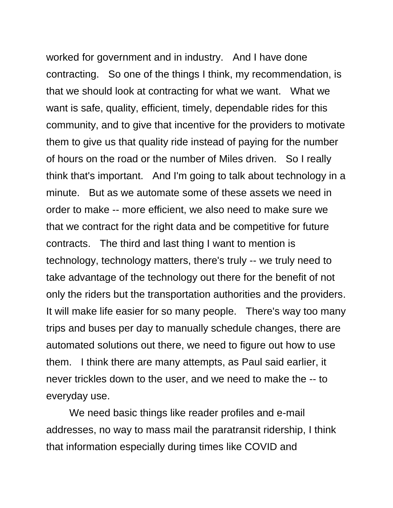worked for government and in industry. And I have done contracting. So one of the things I think, my recommendation, is that we should look at contracting for what we want. What we want is safe, quality, efficient, timely, dependable rides for this community, and to give that incentive for the providers to motivate them to give us that quality ride instead of paying for the number of hours on the road or the number of Miles driven. So I really think that's important. And I'm going to talk about technology in a minute. But as we automate some of these assets we need in order to make -- more efficient, we also need to make sure we that we contract for the right data and be competitive for future contracts. The third and last thing I want to mention is technology, technology matters, there's truly -- we truly need to take advantage of the technology out there for the benefit of not only the riders but the transportation authorities and the providers. It will make life easier for so many people. There's way too many trips and buses per day to manually schedule changes, there are automated solutions out there, we need to figure out how to use them. I think there are many attempts, as Paul said earlier, it never trickles down to the user, and we need to make the -- to everyday use.

We need basic things like reader profiles and e-mail addresses, no way to mass mail the paratransit ridership, I think that information especially during times like COVID and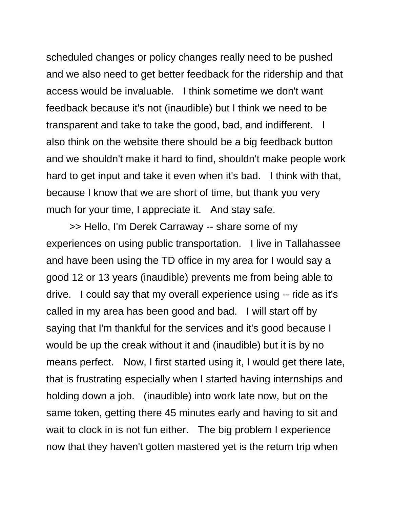scheduled changes or policy changes really need to be pushed and we also need to get better feedback for the ridership and that access would be invaluable. I think sometime we don't want feedback because it's not (inaudible) but I think we need to be transparent and take to take the good, bad, and indifferent. I also think on the website there should be a big feedback button and we shouldn't make it hard to find, shouldn't make people work hard to get input and take it even when it's bad. I think with that, because I know that we are short of time, but thank you very much for your time, I appreciate it. And stay safe.

>> Hello, I'm Derek Carraway -- share some of my experiences on using public transportation. I live in Tallahassee and have been using the TD office in my area for I would say a good 12 or 13 years (inaudible) prevents me from being able to drive. I could say that my overall experience using -- ride as it's called in my area has been good and bad. I will start off by saying that I'm thankful for the services and it's good because I would be up the creak without it and (inaudible) but it is by no means perfect. Now, I first started using it, I would get there late, that is frustrating especially when I started having internships and holding down a job. (inaudible) into work late now, but on the same token, getting there 45 minutes early and having to sit and wait to clock in is not fun either. The big problem I experience now that they haven't gotten mastered yet is the return trip when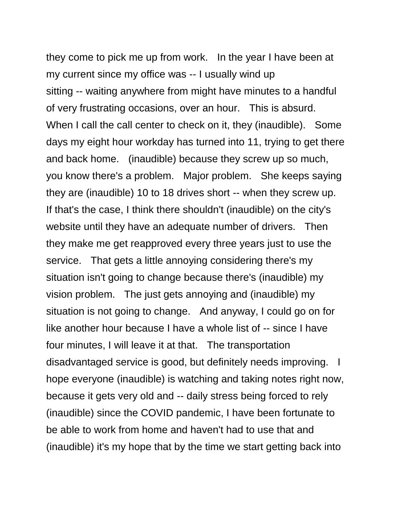they come to pick me up from work. In the year I have been at my current since my office was -- I usually wind up sitting -- waiting anywhere from might have minutes to a handful of very frustrating occasions, over an hour. This is absurd. When I call the call center to check on it, they (inaudible). Some days my eight hour workday has turned into 11, trying to get there and back home. (inaudible) because they screw up so much, you know there's a problem. Major problem. She keeps saying they are (inaudible) 10 to 18 drives short -- when they screw up. If that's the case, I think there shouldn't (inaudible) on the city's website until they have an adequate number of drivers. Then they make me get reapproved every three years just to use the service. That gets a little annoying considering there's my situation isn't going to change because there's (inaudible) my vision problem. The just gets annoying and (inaudible) my situation is not going to change. And anyway, I could go on for like another hour because I have a whole list of -- since I have four minutes, I will leave it at that. The transportation disadvantaged service is good, but definitely needs improving. I hope everyone (inaudible) is watching and taking notes right now, because it gets very old and -- daily stress being forced to rely (inaudible) since the COVID pandemic, I have been fortunate to be able to work from home and haven't had to use that and (inaudible) it's my hope that by the time we start getting back into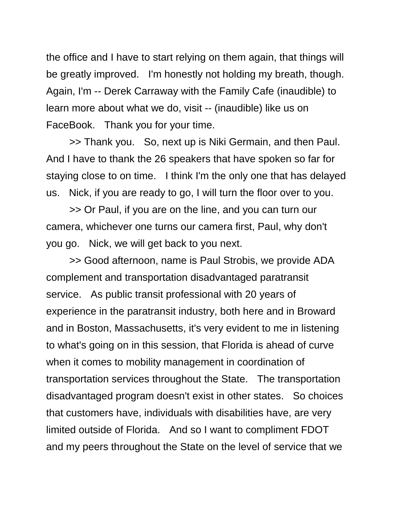the office and I have to start relying on them again, that things will be greatly improved. I'm honestly not holding my breath, though. Again, I'm -- Derek Carraway with the Family Cafe (inaudible) to learn more about what we do, visit -- (inaudible) like us on FaceBook. Thank you for your time.

>> Thank you. So, next up is Niki Germain, and then Paul. And I have to thank the 26 speakers that have spoken so far for staying close to on time. I think I'm the only one that has delayed us. Nick, if you are ready to go, I will turn the floor over to you.

>> Or Paul, if you are on the line, and you can turn our camera, whichever one turns our camera first, Paul, why don't you go. Nick, we will get back to you next.

>> Good afternoon, name is Paul Strobis, we provide ADA complement and transportation disadvantaged paratransit service. As public transit professional with 20 years of experience in the paratransit industry, both here and in Broward and in Boston, Massachusetts, it's very evident to me in listening to what's going on in this session, that Florida is ahead of curve when it comes to mobility management in coordination of transportation services throughout the State. The transportation disadvantaged program doesn't exist in other states. So choices that customers have, individuals with disabilities have, are very limited outside of Florida. And so I want to compliment FDOT and my peers throughout the State on the level of service that we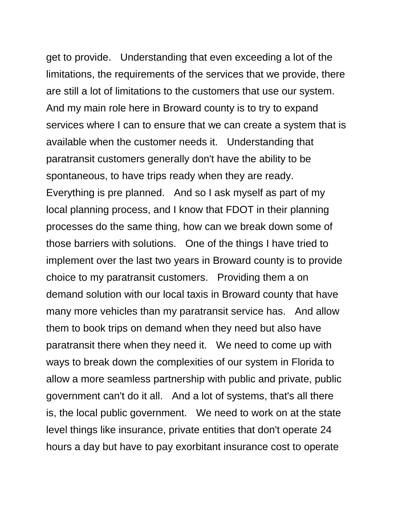get to provide. Understanding that even exceeding a lot of the limitations, the requirements of the services that we provide, there are still a lot of limitations to the customers that use our system. And my main role here in Broward county is to try to expand services where I can to ensure that we can create a system that is available when the customer needs it. Understanding that paratransit customers generally don't have the ability to be spontaneous, to have trips ready when they are ready. Everything is pre planned. And so I ask myself as part of my local planning process, and I know that FDOT in their planning processes do the same thing, how can we break down some of those barriers with solutions. One of the things I have tried to implement over the last two years in Broward county is to provide choice to my paratransit customers. Providing them a on demand solution with our local taxis in Broward county that have many more vehicles than my paratransit service has. And allow them to book trips on demand when they need but also have paratransit there when they need it. We need to come up with ways to break down the complexities of our system in Florida to allow a more seamless partnership with public and private, public government can't do it all. And a lot of systems, that's all there is, the local public government. We need to work on at the state level things like insurance, private entities that don't operate 24 hours a day but have to pay exorbitant insurance cost to operate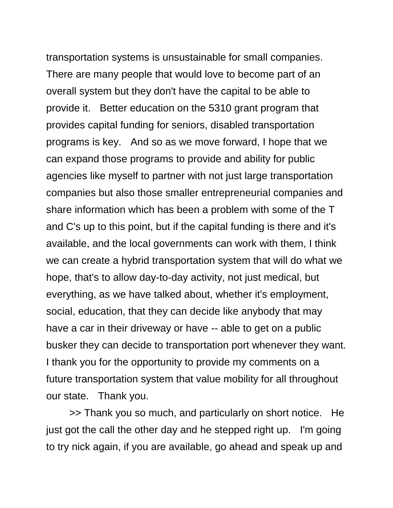transportation systems is unsustainable for small companies. There are many people that would love to become part of an overall system but they don't have the capital to be able to provide it. Better education on the 5310 grant program that provides capital funding for seniors, disabled transportation programs is key. And so as we move forward, I hope that we can expand those programs to provide and ability for public agencies like myself to partner with not just large transportation companies but also those smaller entrepreneurial companies and share information which has been a problem with some of the T and C's up to this point, but if the capital funding is there and it's available, and the local governments can work with them, I think we can create a hybrid transportation system that will do what we hope, that's to allow day-to-day activity, not just medical, but everything, as we have talked about, whether it's employment, social, education, that they can decide like anybody that may have a car in their driveway or have -- able to get on a public busker they can decide to transportation port whenever they want. I thank you for the opportunity to provide my comments on a future transportation system that value mobility for all throughout our state. Thank you.

>> Thank you so much, and particularly on short notice. He just got the call the other day and he stepped right up. I'm going to try nick again, if you are available, go ahead and speak up and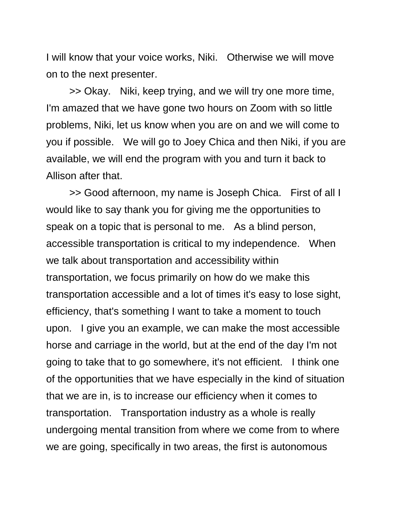I will know that your voice works, Niki. Otherwise we will move on to the next presenter.

>> Okay. Niki, keep trying, and we will try one more time, I'm amazed that we have gone two hours on Zoom with so little problems, Niki, let us know when you are on and we will come to you if possible. We will go to Joey Chica and then Niki, if you are available, we will end the program with you and turn it back to Allison after that.

>> Good afternoon, my name is Joseph Chica. First of all I would like to say thank you for giving me the opportunities to speak on a topic that is personal to me. As a blind person, accessible transportation is critical to my independence. When we talk about transportation and accessibility within transportation, we focus primarily on how do we make this transportation accessible and a lot of times it's easy to lose sight, efficiency, that's something I want to take a moment to touch upon. I give you an example, we can make the most accessible horse and carriage in the world, but at the end of the day I'm not going to take that to go somewhere, it's not efficient. I think one of the opportunities that we have especially in the kind of situation that we are in, is to increase our efficiency when it comes to transportation. Transportation industry as a whole is really undergoing mental transition from where we come from to where we are going, specifically in two areas, the first is autonomous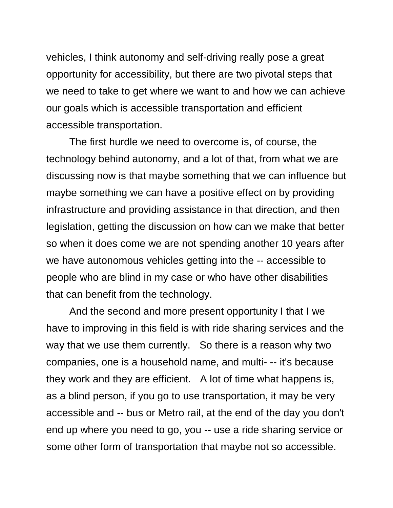vehicles, I think autonomy and self-driving really pose a great opportunity for accessibility, but there are two pivotal steps that we need to take to get where we want to and how we can achieve our goals which is accessible transportation and efficient accessible transportation.

The first hurdle we need to overcome is, of course, the technology behind autonomy, and a lot of that, from what we are discussing now is that maybe something that we can influence but maybe something we can have a positive effect on by providing infrastructure and providing assistance in that direction, and then legislation, getting the discussion on how can we make that better so when it does come we are not spending another 10 years after we have autonomous vehicles getting into the -- accessible to people who are blind in my case or who have other disabilities that can benefit from the technology.

And the second and more present opportunity I that I we have to improving in this field is with ride sharing services and the way that we use them currently. So there is a reason why two companies, one is a household name, and multi- -- it's because they work and they are efficient. A lot of time what happens is, as a blind person, if you go to use transportation, it may be very accessible and -- bus or Metro rail, at the end of the day you don't end up where you need to go, you -- use a ride sharing service or some other form of transportation that maybe not so accessible.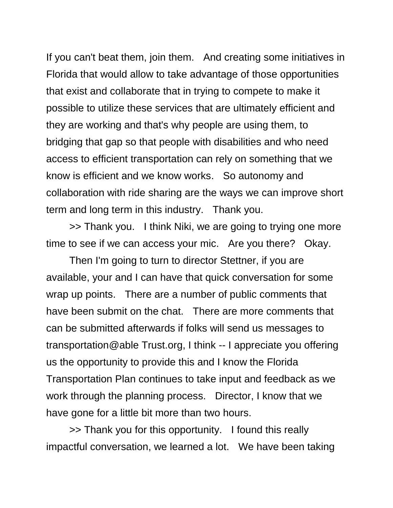If you can't beat them, join them. And creating some initiatives in Florida that would allow to take advantage of those opportunities that exist and collaborate that in trying to compete to make it possible to utilize these services that are ultimately efficient and they are working and that's why people are using them, to bridging that gap so that people with disabilities and who need access to efficient transportation can rely on something that we know is efficient and we know works. So autonomy and collaboration with ride sharing are the ways we can improve short term and long term in this industry. Thank you.

>> Thank you. I think Niki, we are going to trying one more time to see if we can access your mic. Are you there? Okay.

Then I'm going to turn to director Stettner, if you are available, your and I can have that quick conversation for some wrap up points. There are a number of public comments that have been submit on the chat. There are more comments that can be submitted afterwards if folks will send us messages to transportation@able Trust.org, I think -- I appreciate you offering us the opportunity to provide this and I know the Florida Transportation Plan continues to take input and feedback as we work through the planning process. Director, I know that we have gone for a little bit more than two hours.

>> Thank you for this opportunity. I found this really impactful conversation, we learned a lot. We have been taking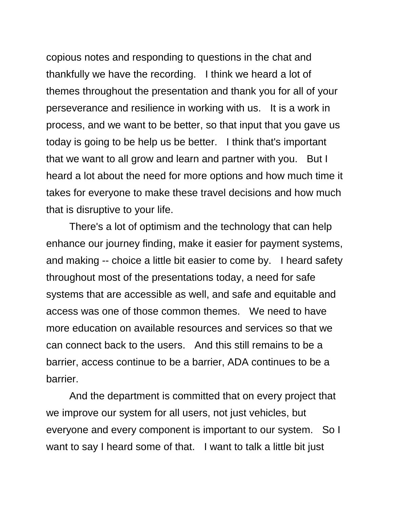copious notes and responding to questions in the chat and thankfully we have the recording. I think we heard a lot of themes throughout the presentation and thank you for all of your perseverance and resilience in working with us. It is a work in process, and we want to be better, so that input that you gave us today is going to be help us be better. I think that's important that we want to all grow and learn and partner with you. But I heard a lot about the need for more options and how much time it takes for everyone to make these travel decisions and how much that is disruptive to your life.

There's a lot of optimism and the technology that can help enhance our journey finding, make it easier for payment systems, and making -- choice a little bit easier to come by. I heard safety throughout most of the presentations today, a need for safe systems that are accessible as well, and safe and equitable and access was one of those common themes. We need to have more education on available resources and services so that we can connect back to the users. And this still remains to be a barrier, access continue to be a barrier, ADA continues to be a barrier.

And the department is committed that on every project that we improve our system for all users, not just vehicles, but everyone and every component is important to our system. So I want to say I heard some of that. I want to talk a little bit just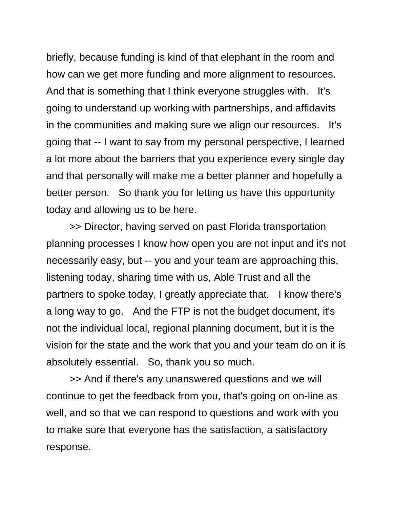briefly, because funding is kind of that elephant in the room and how can we get more funding and more alignment to resources. And that is something that I think everyone struggles with. It's going to understand up working with partnerships, and affidavits in the communities and making sure we align our resources. It's going that -- I want to say from my personal perspective, I learned a lot more about the barriers that you experience every single day and that personally will make me a better planner and hopefully a better person. So thank you for letting us have this opportunity today and allowing us to be here.

>> Director, having served on past Florida transportation planning processes I know how open you are not input and it's not necessarily easy, but -- you and your team are approaching this, listening today, sharing time with us, Able Trust and all the partners to spoke today, I greatly appreciate that. I know there's a long way to go. And the FTP is not the budget document, it's not the individual local, regional planning document, but it is the vision for the state and the work that you and your team do on it is absolutely essential. So, thank you so much.

>> And if there's any unanswered questions and we will continue to get the feedback from you, that's going on on-line as well, and so that we can respond to questions and work with you to make sure that everyone has the satisfaction, a satisfactory response.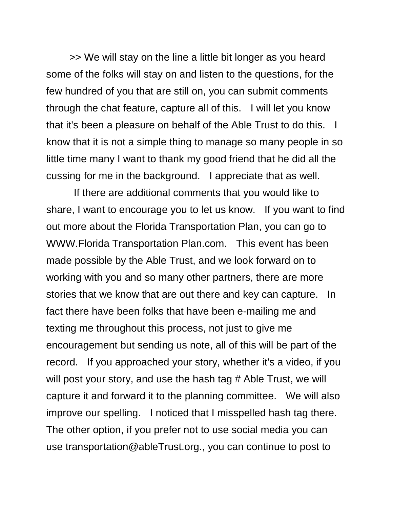>> We will stay on the line a little bit longer as you heard some of the folks will stay on and listen to the questions, for the few hundred of you that are still on, you can submit comments through the chat feature, capture all of this. I will let you know that it's been a pleasure on behalf of the Able Trust to do this. I know that it is not a simple thing to manage so many people in so little time many I want to thank my good friend that he did all the cussing for me in the background. I appreciate that as well.

If there are additional comments that you would like to share, I want to encourage you to let us know. If you want to find out more about the Florida Transportation Plan, you can go to WWW.Florida Transportation Plan.com. This event has been made possible by the Able Trust, and we look forward on to working with you and so many other partners, there are more stories that we know that are out there and key can capture. In fact there have been folks that have been e-mailing me and texting me throughout this process, not just to give me encouragement but sending us note, all of this will be part of the record. If you approached your story, whether it's a video, if you will post your story, and use the hash tag # Able Trust, we will capture it and forward it to the planning committee. We will also improve our spelling. I noticed that I misspelled hash tag there. The other option, if you prefer not to use social media you can use transportation@ableTrust.org., you can continue to post to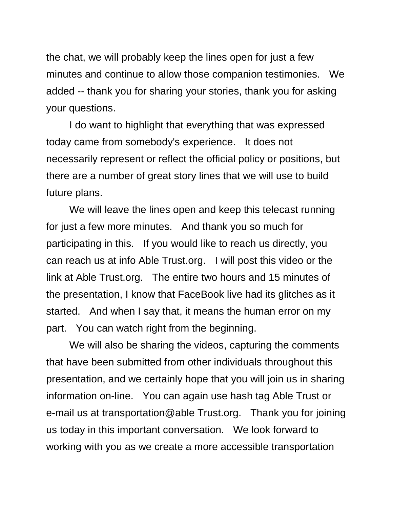the chat, we will probably keep the lines open for just a few minutes and continue to allow those companion testimonies. We added -- thank you for sharing your stories, thank you for asking your questions.

I do want to highlight that everything that was expressed today came from somebody's experience. It does not necessarily represent or reflect the official policy or positions, but there are a number of great story lines that we will use to build future plans.

We will leave the lines open and keep this telecast running for just a few more minutes. And thank you so much for participating in this. If you would like to reach us directly, you can reach us at info Able Trust.org. I will post this video or the link at Able Trust.org. The entire two hours and 15 minutes of the presentation, I know that FaceBook live had its glitches as it started. And when I say that, it means the human error on my part. You can watch right from the beginning.

We will also be sharing the videos, capturing the comments that have been submitted from other individuals throughout this presentation, and we certainly hope that you will join us in sharing information on-line. You can again use hash tag Able Trust or e-mail us at transportation@able Trust.org. Thank you for joining us today in this important conversation. We look forward to working with you as we create a more accessible transportation